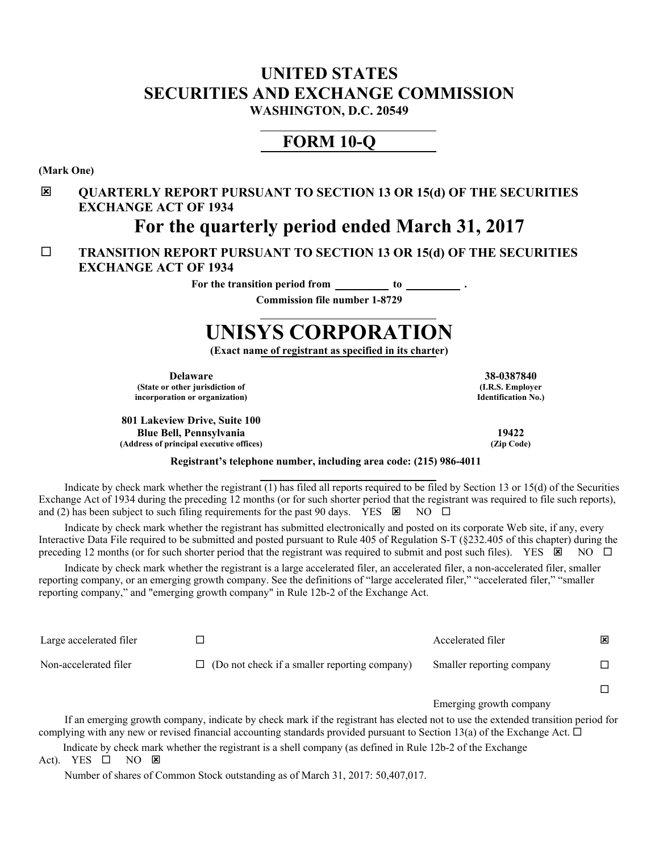# **UNITED STATES SECURITIES AND EXCHANGE COMMISSION WASHINGTON, D.C. 20549**

# **FORM 10-Q**

**(Mark One)**

#### 冈 **QUARTERLY REPORT PURSUANT TO SECTION 13 OR 15(d) OF THE SECURITIES EXCHANGE ACT OF 1934**

# **For the quarterly period ended March 31, 2017**<br>**TRANSITION REPORT PURSUANT TO SECTION 13 OR 15(d) OF THE SEC**

# **TRANSITION REPORT PURSUANT TO SECTION 13 OR 15(d) OF THE SECURITIES EXCHANGE ACT OF 1934**

**For the transition period from to .**

**Commission file number 1-8729**

# **UNISYS CORPORATION**

**(Exact name of registrant as specified in its charter)**

**Delaware 38-0387840 (State or other jurisdiction of incorporation or organization)**

**801 Lakeview Drive, Suite 100 Blue Bell, Pennsylvania 19422 (Address of principal executive offices) (Zip Code)**

**(I.R.S. Employer Identification No.)**

#### **Registrant's telephone number, including area code: (215) 986-4011**

Indicate by check mark whether the registrant (1) has filed all reports required to be filed by Section 13 or 15(d) of the Securities Exchange Act of 1934 during the preceding 12 months (or for such shorter period that the registrant was required to file such reports), and (2) has been subject to such filing requirements for the past 90 days. YES  $\boxtimes$  NO  $\Box$ 

Indicate by check mark whether the registrant has submitted electronically and posted on its corporate Web site, if any, every Interactive Data File required to be submitted and posted pursuant to Rule 405 of Regulation S-T (§232.405 of this chapter) during the preceding 12 months (or for such shorter period that the registrant was required to submit and post such files). YES  $\boxtimes$  NO  $\Box$ 

Indicate by check mark whether the registrant is a large accelerated filer, an accelerated filer, a non-accelerated filer, smaller reporting company, or an emerging growth company. See the definitions of "large accelerated filer," "accelerated filer," "smaller reporting company," and "emerging growth company" in Rule 12b-2 of the Exchange Act.

| Large accelerated filer |                                                         | Accelerated filer         | ⊠ |
|-------------------------|---------------------------------------------------------|---------------------------|---|
| Non-accelerated filer   | (Do not check if a smaller reporting company)<br>$\Box$ | Smaller reporting company |   |
|                         |                                                         |                           |   |

Emerging growth company

If an emerging growth company, indicate by check mark if the registrant has elected not to use the extended transition period for complying with any new or revised financial accounting standards provided pursuant to Section 13(a) of the Exchange Act.  $\Box$ 

Indicate by check mark whether the registrant is a shell company (as defined in Rule 12b-2 of the Exchange

Act). YES  $\square$  NO  $\square$ 

Number of shares of Common Stock outstanding as of March 31, 2017: 50,407,017.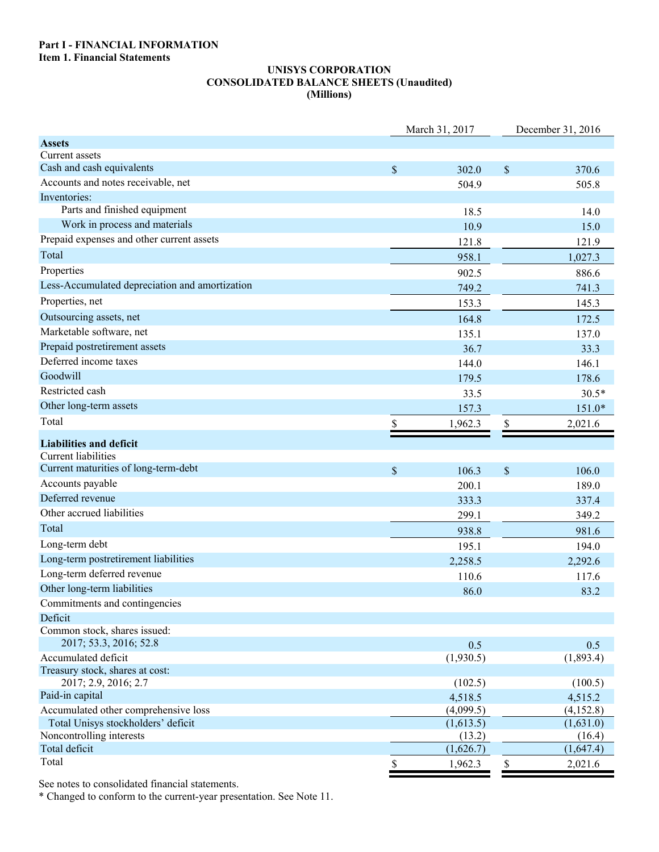### **UNISYS CORPORATION CONSOLIDATED BALANCE SHEETS (Unaudited) (Millions)**

|                                                                    | March 31, 2017        | December 31, 2016                  |
|--------------------------------------------------------------------|-----------------------|------------------------------------|
| <b>Assets</b>                                                      |                       |                                    |
| Current assets                                                     |                       |                                    |
| Cash and cash equivalents                                          | $\mathbb{S}$<br>302.0 | $\boldsymbol{\mathsf{S}}$<br>370.6 |
| Accounts and notes receivable, net                                 | 504.9                 | 505.8                              |
| Inventories:                                                       |                       |                                    |
| Parts and finished equipment                                       | 18.5                  | 14.0                               |
| Work in process and materials                                      | 10.9                  | 15.0                               |
| Prepaid expenses and other current assets                          | 121.8                 | 121.9                              |
| Total                                                              | 958.1                 | 1,027.3                            |
| Properties                                                         | 902.5                 | 886.6                              |
| Less-Accumulated depreciation and amortization                     | 749.2                 | 741.3                              |
| Properties, net                                                    | 153.3                 | 145.3                              |
| Outsourcing assets, net                                            | 164.8                 | 172.5                              |
| Marketable software, net                                           | 135.1                 | 137.0                              |
| Prepaid postretirement assets                                      | 36.7                  | 33.3                               |
| Deferred income taxes                                              | 144.0                 | 146.1                              |
| Goodwill                                                           | 179.5                 | 178.6                              |
| Restricted cash                                                    | 33.5                  | $30.5*$                            |
| Other long-term assets                                             | 157.3                 | 151.0*                             |
| Total                                                              | 1,962.3<br>\$         | \$<br>2,021.6                      |
|                                                                    |                       |                                    |
| <b>Liabilities and deficit</b>                                     |                       |                                    |
| <b>Current liabilities</b><br>Current maturities of long-term-debt |                       |                                    |
|                                                                    | \$<br>106.3           | $\mathbb{S}$<br>106.0              |
| Accounts payable<br>Deferred revenue                               | 200.1                 | 189.0                              |
|                                                                    | 333.3                 | 337.4                              |
| Other accrued liabilities                                          | 299.1                 | 349.2                              |
| Total                                                              | 938.8                 | 981.6                              |
| Long-term debt                                                     | 195.1                 | 194.0                              |
| Long-term postretirement liabilities                               | 2,258.5               | 2,292.6                            |
| Long-term deferred revenue                                         | 110.6                 | 117.6                              |
| Other long-term liabilities                                        | 86.0                  | 83.2                               |
| Commitments and contingencies                                      |                       |                                    |
| Deficit                                                            |                       |                                    |
| Common stock, shares issued:                                       |                       |                                    |
| 2017; 53.3, 2016; 52.8                                             | 0.5                   | 0.5                                |
| Accumulated deficit                                                | (1,930.5)             | (1,893.4)                          |
| Treasury stock, shares at cost:<br>2017; 2.9, 2016; 2.7            |                       | (100.5)                            |
| Paid-in capital                                                    | (102.5)<br>4,518.5    |                                    |
| Accumulated other comprehensive loss                               | (4,099.5)             | 4,515.2<br>(4,152.8)               |
| Total Unisys stockholders' deficit                                 | (1,613.5)             | (1,631.0)                          |
| Noncontrolling interests                                           | (13.2)                | (16.4)                             |
| Total deficit                                                      | (1,626.7)             | (1,647.4)                          |
| Total                                                              | \$<br>1,962.3         | $\$$<br>2,021.6                    |

See notes to consolidated financial statements.

\* Changed to conform to the current-year presentation. See Note 11.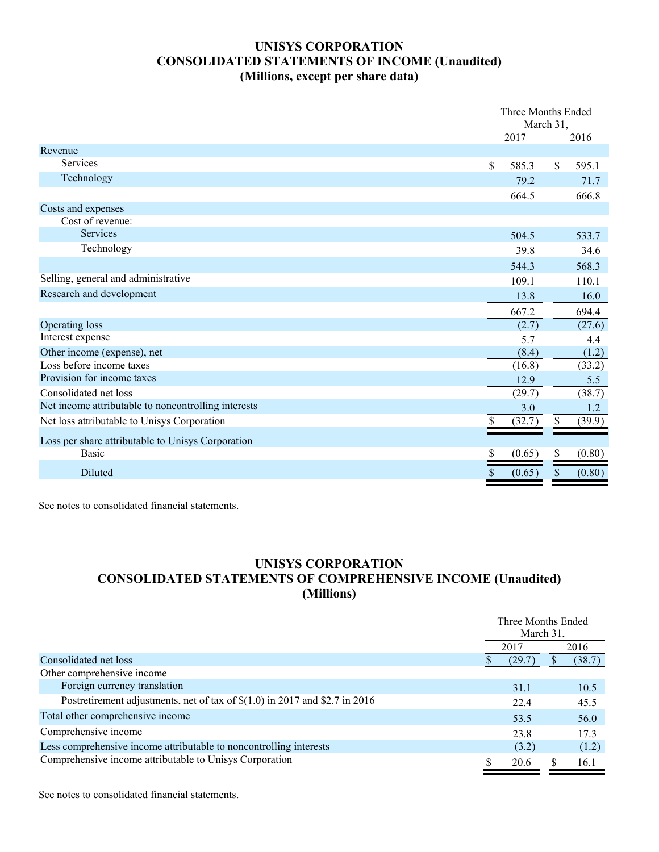# **UNISYS CORPORATION CONSOLIDATED STATEMENTS OF INCOME (Unaudited) (Millions, except per share data)**

|                                                     |    | Three Months Ended<br>March 31, |    |        |  |
|-----------------------------------------------------|----|---------------------------------|----|--------|--|
|                                                     |    | 2017                            |    | 2016   |  |
| Revenue                                             |    |                                 |    |        |  |
| Services                                            | \$ | 585.3                           | \$ | 595.1  |  |
| Technology                                          |    | 79.2                            |    | 71.7   |  |
|                                                     |    | 664.5                           |    | 666.8  |  |
| Costs and expenses                                  |    |                                 |    |        |  |
| Cost of revenue:                                    |    |                                 |    |        |  |
| <b>Services</b>                                     |    | 504.5                           |    | 533.7  |  |
| Technology                                          |    | 39.8                            |    | 34.6   |  |
|                                                     |    | 544.3                           |    | 568.3  |  |
| Selling, general and administrative                 |    | 109.1                           |    | 110.1  |  |
| Research and development                            |    | 13.8                            |    | 16.0   |  |
|                                                     |    | 667.2                           |    | 694.4  |  |
| Operating loss                                      |    | (2.7)                           |    | (27.6) |  |
| Interest expense                                    |    | 5.7                             |    | 4.4    |  |
| Other income (expense), net                         |    | (8.4)                           |    | (1.2)  |  |
| Loss before income taxes                            |    | (16.8)                          |    | (33.2) |  |
| Provision for income taxes                          |    | 12.9                            |    | 5.5    |  |
| Consolidated net loss                               |    | (29.7)                          |    | (38.7) |  |
| Net income attributable to noncontrolling interests |    | 3.0                             |    | 1.2    |  |
| Net loss attributable to Unisys Corporation         |    | (32.7)                          | \$ | (39.9) |  |
| Loss per share attributable to Unisys Corporation   |    |                                 |    |        |  |
| <b>Basic</b>                                        | \$ | (0.65)                          | \$ | (0.80) |  |
| Diluted                                             | S  | (0.65)                          | \$ | (0.80) |  |
|                                                     |    |                                 |    |        |  |

See notes to consolidated financial statements.

# **UNISYS CORPORATION CONSOLIDATED STATEMENTS OF COMPREHENSIVE INCOME (Unaudited) (Millions)**

|                                                                             |      | Three Months Ended<br>March 31, |  |        |  |
|-----------------------------------------------------------------------------|------|---------------------------------|--|--------|--|
|                                                                             | 2017 |                                 |  | 2016   |  |
| Consolidated net loss                                                       |      | (29.7)                          |  | (38.7) |  |
| Other comprehensive income                                                  |      |                                 |  |        |  |
| Foreign currency translation                                                |      | 31.1                            |  | 10.5   |  |
| Postretirement adjustments, net of tax of \$(1.0) in 2017 and \$2.7 in 2016 |      | 22.4                            |  | 45.5   |  |
| Total other comprehensive income                                            |      | 53.5                            |  | 56.0   |  |
| Comprehensive income                                                        |      | 23.8                            |  | 17.3   |  |
| Less comprehensive income attributable to noncontrolling interests          |      | (3.2)                           |  | (1.2)  |  |
| Comprehensive income attributable to Unisys Corporation                     |      | 20.6                            |  | 16.1   |  |

See notes to consolidated financial statements.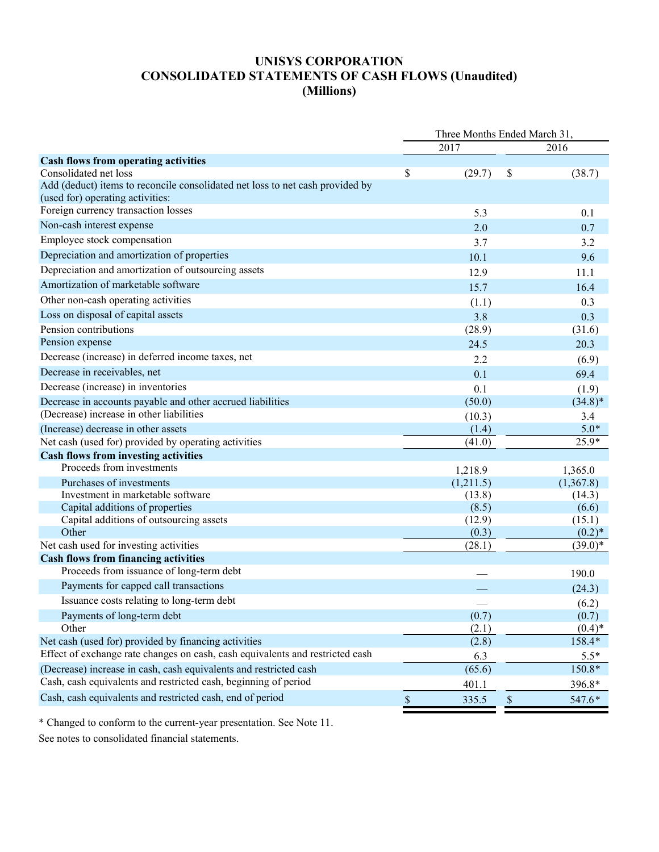# **UNISYS CORPORATION CONSOLIDATED STATEMENTS OF CASH FLOWS (Unaudited) (Millions)**

|                                                                                                                   | Three Months Ended March 31, |           |      |                |  |
|-------------------------------------------------------------------------------------------------------------------|------------------------------|-----------|------|----------------|--|
|                                                                                                                   |                              | 2017      |      | 2016           |  |
| <b>Cash flows from operating activities</b>                                                                       |                              |           |      |                |  |
| Consolidated net loss                                                                                             | \$                           | (29.7)    | \$   | (38.7)         |  |
| Add (deduct) items to reconcile consolidated net loss to net cash provided by<br>(used for) operating activities: |                              |           |      |                |  |
| Foreign currency transaction losses                                                                               |                              | 5.3       |      | 0.1            |  |
| Non-cash interest expense                                                                                         |                              | 2.0       |      | 0.7            |  |
| Employee stock compensation                                                                                       |                              | 3.7       |      | 3.2            |  |
| Depreciation and amortization of properties                                                                       |                              | 10.1      |      | 9.6            |  |
| Depreciation and amortization of outsourcing assets                                                               |                              | 12.9      |      | 11.1           |  |
| Amortization of marketable software                                                                               |                              | 15.7      |      | 16.4           |  |
| Other non-cash operating activities                                                                               |                              | (1.1)     |      | 0.3            |  |
| Loss on disposal of capital assets                                                                                |                              | 3.8       |      | 0.3            |  |
| Pension contributions                                                                                             |                              | (28.9)    |      | (31.6)         |  |
| Pension expense                                                                                                   |                              | 24.5      |      | 20.3           |  |
| Decrease (increase) in deferred income taxes, net                                                                 |                              | 2.2       |      | (6.9)          |  |
| Decrease in receivables, net                                                                                      |                              | 0.1       |      | 69.4           |  |
| Decrease (increase) in inventories                                                                                |                              | 0.1       |      | (1.9)          |  |
| Decrease in accounts payable and other accrued liabilities                                                        |                              | (50.0)    |      | $(34.8)*$      |  |
| (Decrease) increase in other liabilities                                                                          |                              | (10.3)    |      | 3.4            |  |
| (Increase) decrease in other assets                                                                               |                              | (1.4)     |      | $5.0*$         |  |
| Net cash (used for) provided by operating activities                                                              |                              | (41.0)    |      | 25.9*          |  |
| <b>Cash flows from investing activities</b>                                                                       |                              |           |      |                |  |
| Proceeds from investments                                                                                         |                              | 1,218.9   |      | 1,365.0        |  |
| Purchases of investments                                                                                          |                              | (1,211.5) |      | (1,367.8)      |  |
| Investment in marketable software                                                                                 |                              | (13.8)    |      | (14.3)         |  |
| Capital additions of properties                                                                                   |                              | (8.5)     |      | (6.6)          |  |
| Capital additions of outsourcing assets                                                                           |                              | (12.9)    |      | (15.1)         |  |
| Other                                                                                                             |                              | (0.3)     |      | $(0.2)$ *      |  |
| Net cash used for investing activities                                                                            |                              | (28.1)    |      | $(39.0)*$      |  |
| <b>Cash flows from financing activities</b><br>Proceeds from issuance of long-term debt                           |                              |           |      |                |  |
| Payments for capped call transactions                                                                             |                              |           |      | 190.0          |  |
| Issuance costs relating to long-term debt                                                                         |                              |           |      | (24.3)         |  |
| Payments of long-term debt                                                                                        |                              | (0.7)     |      | (6.2)<br>(0.7) |  |
| Other                                                                                                             |                              | (2.1)     |      | $(0.4)^*$      |  |
| Net cash (used for) provided by financing activities                                                              |                              | (2.8)     |      | 158.4*         |  |
| Effect of exchange rate changes on cash, cash equivalents and restricted cash                                     |                              | 6.3       |      | $5.5*$         |  |
| (Decrease) increase in cash, cash equivalents and restricted cash                                                 |                              | (65.6)    |      | 150.8*         |  |
| Cash, cash equivalents and restricted cash, beginning of period                                                   |                              | 401.1     |      | 396.8*         |  |
| Cash, cash equivalents and restricted cash, end of period                                                         | $\boldsymbol{\mathsf{S}}$    | 335.5     | $\$$ | 547.6*         |  |

\* Changed to conform to the current-year presentation. See Note 11.

See notes to consolidated financial statements.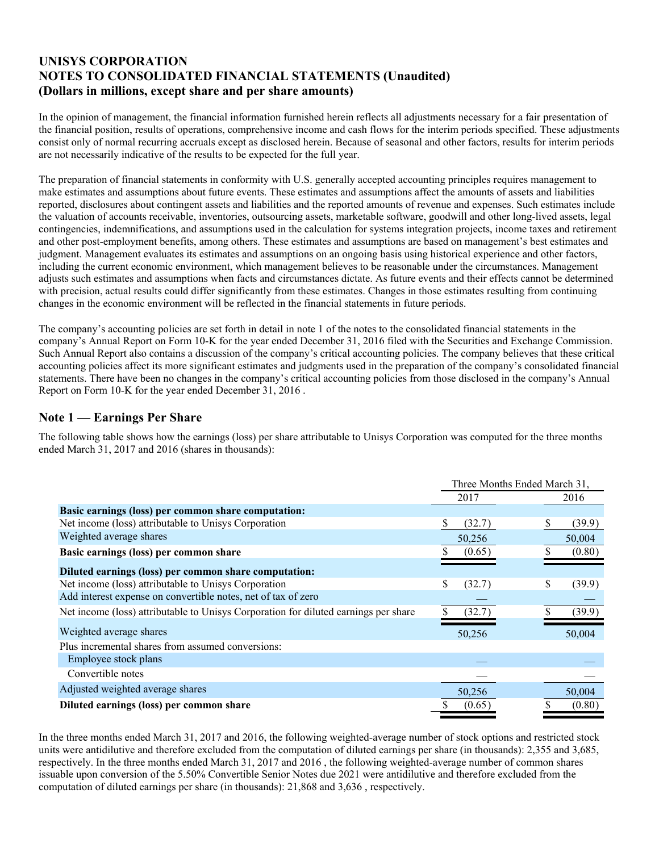# **UNISYS CORPORATION NOTES TO CONSOLIDATED FINANCIAL STATEMENTS (Unaudited) (Dollars in millions, except share and per share amounts)**

In the opinion of management, the financial information furnished herein reflects all adjustments necessary for a fair presentation of the financial position, results of operations, comprehensive income and cash flows for the interim periods specified. These adjustments consist only of normal recurring accruals except as disclosed herein. Because of seasonal and other factors, results for interim periods are not necessarily indicative of the results to be expected for the full year.

The preparation of financial statements in conformity with U.S. generally accepted accounting principles requires management to make estimates and assumptions about future events. These estimates and assumptions affect the amounts of assets and liabilities reported, disclosures about contingent assets and liabilities and the reported amounts of revenue and expenses. Such estimates include the valuation of accounts receivable, inventories, outsourcing assets, marketable software, goodwill and other long-lived assets, legal contingencies, indemnifications, and assumptions used in the calculation for systems integration projects, income taxes and retirement and other post-employment benefits, among others. These estimates and assumptions are based on management's best estimates and judgment. Management evaluates its estimates and assumptions on an ongoing basis using historical experience and other factors, including the current economic environment, which management believes to be reasonable under the circumstances. Management adjusts such estimates and assumptions when facts and circumstances dictate. As future events and their effects cannot be determined with precision, actual results could differ significantly from these estimates. Changes in those estimates resulting from continuing changes in the economic environment will be reflected in the financial statements in future periods.

The company's accounting policies are set forth in detail in note 1 of the notes to the consolidated financial statements in the company's Annual Report on Form 10-K for the year ended December 31, 2016 filed with the Securities and Exchange Commission. Such Annual Report also contains a discussion of the company's critical accounting policies. The company believes that these critical accounting policies affect its more significant estimates and judgments used in the preparation of the company's consolidated financial statements. There have been no changes in the company's critical accounting policies from those disclosed in the company's Annual Report on Form 10-K for the year ended December 31, 2016 .

# **Note 1 — Earnings Per Share**

The following table shows how the earnings (loss) per share attributable to Unisys Corporation was computed for the three months ended March 31, 2017 and 2016 (shares in thousands):

|                                                                                     | Three Months Ended March 31, |             |  |
|-------------------------------------------------------------------------------------|------------------------------|-------------|--|
|                                                                                     | 2017                         | 2016        |  |
| Basic earnings (loss) per common share computation:                                 |                              |             |  |
| Net income (loss) attributable to Unisys Corporation                                | \$<br>(32.7)                 | (39.9)      |  |
| Weighted average shares                                                             | 50,256                       | 50,004      |  |
| Basic earnings (loss) per common share                                              | (0.65)                       | (0.80)      |  |
| Diluted earnings (loss) per common share computation:                               |                              |             |  |
| Net income (loss) attributable to Unisys Corporation                                | \$<br>(32.7)                 | S<br>(39.9) |  |
| Add interest expense on convertible notes, net of tax of zero                       |                              |             |  |
| Net income (loss) attributable to Unisys Corporation for diluted earnings per share | (32.7)                       | (39.9)      |  |
| Weighted average shares                                                             | 50,256                       | 50,004      |  |
| Plus incremental shares from assumed conversions:                                   |                              |             |  |
| Employee stock plans                                                                |                              |             |  |
| Convertible notes                                                                   |                              |             |  |
| Adjusted weighted average shares                                                    | 50,256                       | 50,004      |  |
| Diluted earnings (loss) per common share                                            | (0.65)                       | (0.80)      |  |

In the three months ended March 31, 2017 and 2016, the following weighted-average number of stock options and restricted stock units were antidilutive and therefore excluded from the computation of diluted earnings per share (in thousands): 2,355 and 3,685, respectively. In the three months ended March 31, 2017 and 2016 , the following weighted-average number of common shares issuable upon conversion of the 5.50% Convertible Senior Notes due 2021 were antidilutive and therefore excluded from the computation of diluted earnings per share (in thousands): 21,868 and 3,636 , respectively.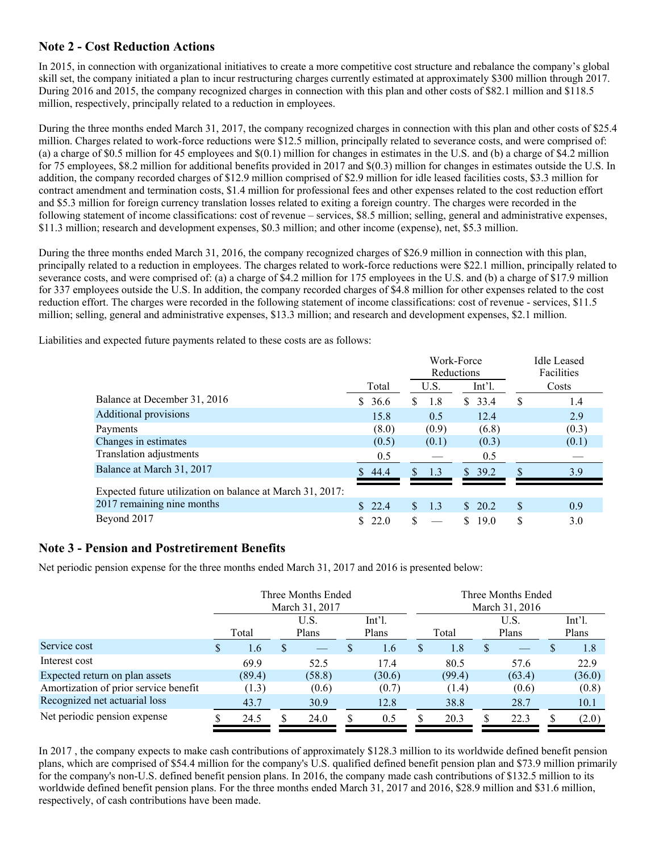# **Note 2 - Cost Reduction Actions**

In 2015, in connection with organizational initiatives to create a more competitive cost structure and rebalance the company's global skill set, the company initiated a plan to incur restructuring charges currently estimated at approximately \$300 million through 2017. During 2016 and 2015, the company recognized charges in connection with this plan and other costs of \$82.1 million and \$118.5 million, respectively, principally related to a reduction in employees.

During the three months ended March 31, 2017, the company recognized charges in connection with this plan and other costs of \$25.4 million. Charges related to work-force reductions were \$12.5 million, principally related to severance costs, and were comprised of: (a) a charge of \$0.5 million for 45 employees and \$(0.1) million for changes in estimates in the U.S. and (b) a charge of \$4.2 million for 75 employees, \$8.2 million for additional benefits provided in 2017 and \$(0.3) million for changes in estimates outside the U.S. In addition, the company recorded charges of \$12.9 million comprised of \$2.9 million for idle leased facilities costs, \$3.3 million for contract amendment and termination costs, \$1.4 million for professional fees and other expenses related to the cost reduction effort and \$5.3 million for foreign currency translation losses related to exiting a foreign country. The charges were recorded in the following statement of income classifications: cost of revenue – services, \$8.5 million; selling, general and administrative expenses, \$11.3 million; research and development expenses, \$0.3 million; and other income (expense), net, \$5.3 million.

During the three months ended March 31, 2016, the company recognized charges of \$26.9 million in connection with this plan, principally related to a reduction in employees. The charges related to work-force reductions were \$22.1 million, principally related to severance costs, and were comprised of: (a) a charge of \$4.2 million for 175 employees in the U.S. and (b) a charge of \$17.9 million for 337 employees outside the U.S. In addition, the company recorded charges of \$4.8 million for other expenses related to the cost reduction effort. The charges were recorded in the following statement of income classifications: cost of revenue - services, \$11.5 million; selling, general and administrative expenses, \$13.3 million; and research and development expenses, \$2.1 million.

Liabilities and expected future payments related to these costs are as follows:

|                                                           |            | Reductions | Work-Force            | <b>Idle Leased</b><br>Facilities |       |  |
|-----------------------------------------------------------|------------|------------|-----------------------|----------------------------------|-------|--|
|                                                           | Total      | U.S.       | $Int1$ .              | Costs                            |       |  |
| Balance at December 31, 2016                              | 36.6<br>S. | 1.8<br>S   | 33.4<br><sup>\$</sup> | S                                | 1.4   |  |
| Additional provisions                                     | 15.8       | 0.5        | 12.4                  |                                  | 2.9   |  |
| Payments                                                  | (8.0)      | (0.9)      | (6.8)                 |                                  | (0.3) |  |
| Changes in estimates                                      | (0.5)      | (0.1)      | (0.3)                 |                                  | (0.1) |  |
| Translation adjustments                                   | 0.5        |            | 0.5                   |                                  |       |  |
| Balance at March 31, 2017                                 | 44.4<br>S. | \$<br>1.3  | 39.2<br><sup>\$</sup> | \$.                              | 3.9   |  |
| Expected future utilization on balance at March 31, 2017: |            |            |                       |                                  |       |  |
| 2017 remaining nine months                                | \$22.4     | S.<br>1.3  | \$20.2                | S                                | 0.9   |  |
| Beyond 2017                                               | 22.0<br>S  |            | 19.0                  | \$                               | 3.0   |  |

# **Note 3 - Pension and Postretirement Benefits**

Net periodic pension expense for the three months ended March 31, 2017 and 2016 is presented below:

|                                       | Three Months Ended<br>March 31, 2017 |   |               |  |                               | Three Months Ended<br>March 31, 2016 |        |  |               |  |                   |
|---------------------------------------|--------------------------------------|---|---------------|--|-------------------------------|--------------------------------------|--------|--|---------------|--|-------------------|
|                                       | Total                                |   | U.S.<br>Plans |  | $Int$ <sup>1</sup> .<br>Plans |                                      | Total  |  | U.S.<br>Plans |  | $Int1$ .<br>Plans |
| Service cost                          | 1.6                                  | S |               |  | 1.6                           | S                                    | 1.8    |  |               |  | 1.8               |
| Interest cost                         | 69.9                                 |   | 52.5          |  | 17.4                          |                                      | 80.5   |  | 57.6          |  | 22.9              |
| Expected return on plan assets        | (89.4)                               |   | (58.8)        |  | (30.6)                        |                                      | (99.4) |  | (63.4)        |  | (36.0)            |
| Amortization of prior service benefit | (1.3)                                |   | (0.6)         |  | (0.7)                         |                                      | (1.4)  |  | (0.6)         |  | (0.8)             |
| Recognized net actuarial loss         | 43.7                                 |   | 30.9          |  | 12.8                          |                                      | 38.8   |  | 28.7          |  | 10.1              |
| Net periodic pension expense          | 24.5                                 |   | 24.0          |  | 0.5                           |                                      | 20.3   |  | 22.3          |  | (2.0)             |

In 2017 , the company expects to make cash contributions of approximately \$128.3 million to its worldwide defined benefit pension plans, which are comprised of \$54.4 million for the company's U.S. qualified defined benefit pension plan and \$73.9 million primarily for the company's non-U.S. defined benefit pension plans. In 2016, the company made cash contributions of \$132.5 million to its worldwide defined benefit pension plans. For the three months ended March 31, 2017 and 2016, \$28.9 million and \$31.6 million, respectively, of cash contributions have been made.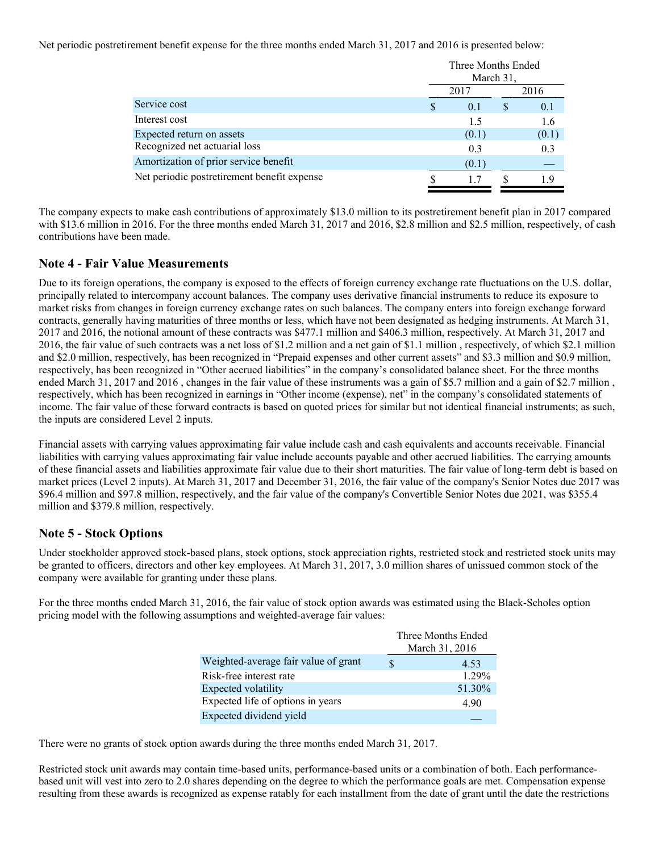Net periodic postretirement benefit expense for the three months ended March 31, 2017 and 2016 is presented below:

|                                             |   | Three Months Ended |   |       |  |  |
|---------------------------------------------|---|--------------------|---|-------|--|--|
|                                             |   | March 31,          |   |       |  |  |
|                                             |   | 2016<br>2017       |   |       |  |  |
| Service cost                                | S | 0.1                | S | 0.1   |  |  |
| Interest cost                               |   | 1.5                |   | 1.6   |  |  |
| Expected return on assets                   |   | (0.1)              |   | (0.1) |  |  |
| Recognized net actuarial loss               |   | 0.3                |   | 0.3   |  |  |
| Amortization of prior service benefit       |   | (0.1)              |   |       |  |  |
| Net periodic postretirement benefit expense |   | 17                 |   |       |  |  |
|                                             |   |                    |   |       |  |  |

The company expects to make cash contributions of approximately \$13.0 million to its postretirement benefit plan in 2017 compared with \$13.6 million in 2016. For the three months ended March 31, 2017 and 2016, \$2.8 million and \$2.5 million, respectively, of cash contributions have been made.

## **Note 4 - Fair Value Measurements**

Due to its foreign operations, the company is exposed to the effects of foreign currency exchange rate fluctuations on the U.S. dollar, principally related to intercompany account balances. The company uses derivative financial instruments to reduce its exposure to market risks from changes in foreign currency exchange rates on such balances. The company enters into foreign exchange forward contracts, generally having maturities of three months or less, which have not been designated as hedging instruments. At March 31, 2017 and 2016, the notional amount of these contracts was \$477.1 million and \$406.3 million, respectively. At March 31, 2017 and 2016, the fair value of such contracts was a net loss of \$1.2 million and a net gain of \$1.1 million , respectively, of which \$2.1 million and \$2.0 million, respectively, has been recognized in "Prepaid expenses and other current assets" and \$3.3 million and \$0.9 million, respectively, has been recognized in "Other accrued liabilities" in the company's consolidated balance sheet. For the three months ended March 31, 2017 and 2016 , changes in the fair value of these instruments was a gain of \$5.7 million and a gain of \$2.7 million , respectively, which has been recognized in earnings in "Other income (expense), net" in the company's consolidated statements of income. The fair value of these forward contracts is based on quoted prices for similar but not identical financial instruments; as such, the inputs are considered Level 2 inputs.

Financial assets with carrying values approximating fair value include cash and cash equivalents and accounts receivable. Financial liabilities with carrying values approximating fair value include accounts payable and other accrued liabilities. The carrying amounts of these financial assets and liabilities approximate fair value due to their short maturities. The fair value of long-term debt is based on market prices (Level 2 inputs). At March 31, 2017 and December 31, 2016, the fair value of the company's Senior Notes due 2017 was \$96.4 million and \$97.8 million, respectively, and the fair value of the company's Convertible Senior Notes due 2021, was \$355.4 million and \$379.8 million, respectively.

# **Note 5 - Stock Options**

Under stockholder approved stock-based plans, stock options, stock appreciation rights, restricted stock and restricted stock units may be granted to officers, directors and other key employees. At March 31, 2017, 3.0 million shares of unissued common stock of the company were available for granting under these plans.

For the three months ended March 31, 2016, the fair value of stock option awards was estimated using the Black-Scholes option pricing model with the following assumptions and weighted-average fair values:

|                                      |   | Three Months Ended<br>March 31, 2016 |
|--------------------------------------|---|--------------------------------------|
| Weighted-average fair value of grant | S | 4.53                                 |
| Risk-free interest rate              |   | 1.29%                                |
| Expected volatility                  |   | 51.30%                               |
| Expected life of options in years    |   | 4.90                                 |
| Expected dividend yield              |   |                                      |

There were no grants of stock option awards during the three months ended March 31, 2017.

Restricted stock unit awards may contain time-based units, performance-based units or a combination of both. Each performancebased unit will vest into zero to 2.0 shares depending on the degree to which the performance goals are met. Compensation expense resulting from these awards is recognized as expense ratably for each installment from the date of grant until the date the restrictions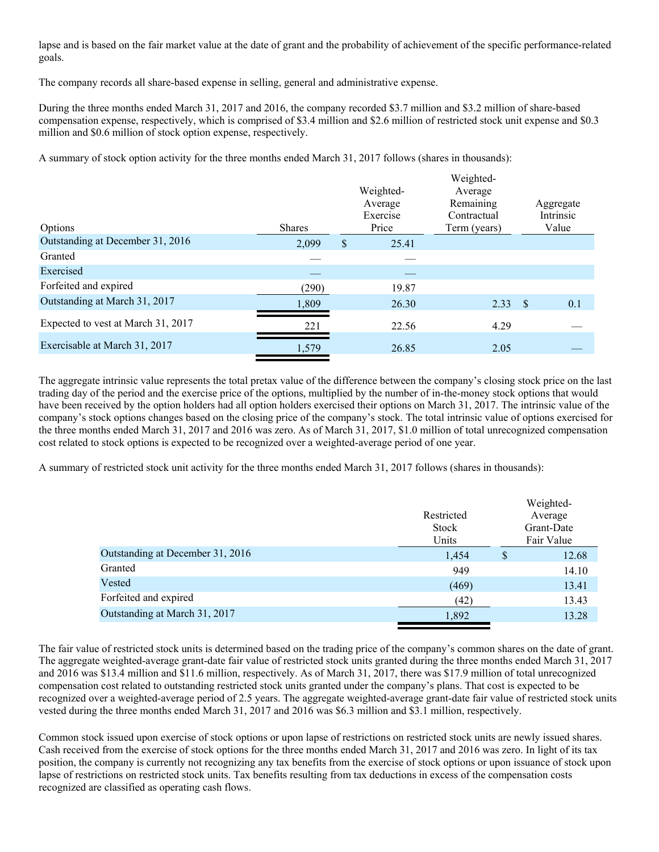lapse and is based on the fair market value at the date of grant and the probability of achievement of the specific performance-related goals.

The company records all share-based expense in selling, general and administrative expense.

During the three months ended March 31, 2017 and 2016, the company recorded \$3.7 million and \$3.2 million of share-based compensation expense, respectively, which is comprised of \$3.4 million and \$2.6 million of restricted stock unit expense and \$0.3 million and \$0.6 million of stock option expense, respectively.

A summary of stock option activity for the three months ended March 31, 2017 follows (shares in thousands):

| <b>Shares</b> |              | Weighted-<br>Average<br>Exercise<br>Price | Weighted-<br>Average<br>Remaining<br>Contractual<br>Term (years) | Aggregate<br>Intrinsic<br>Value |
|---------------|--------------|-------------------------------------------|------------------------------------------------------------------|---------------------------------|
| 2,099         | $\mathbb{S}$ | 25.41                                     |                                                                  |                                 |
|               |              |                                           |                                                                  |                                 |
|               |              |                                           |                                                                  |                                 |
| (290)         |              | 19.87                                     |                                                                  |                                 |
| 1,809         |              | 26.30                                     | 2.33                                                             | 0.1                             |
| 221           |              | 22.56                                     | 4.29                                                             |                                 |
| 1,579         |              | 26.85                                     | 2.05                                                             |                                 |
|               |              |                                           |                                                                  | - \$                            |

The aggregate intrinsic value represents the total pretax value of the difference between the company's closing stock price on the last trading day of the period and the exercise price of the options, multiplied by the number of in-the-money stock options that would have been received by the option holders had all option holders exercised their options on March 31, 2017. The intrinsic value of the company's stock options changes based on the closing price of the company's stock. The total intrinsic value of options exercised for the three months ended March 31, 2017 and 2016 was zero. As of March 31, 2017, \$1.0 million of total unrecognized compensation cost related to stock options is expected to be recognized over a weighted-average period of one year.

A summary of restricted stock unit activity for the three months ended March 31, 2017 follows (shares in thousands):

|                                  | Restricted<br>Stock<br>Units |   | Weighted-<br>Average<br>Grant-Date<br>Fair Value |
|----------------------------------|------------------------------|---|--------------------------------------------------|
| Outstanding at December 31, 2016 | 1,454                        | S | 12.68                                            |
| Granted                          | 949                          |   | 14.10                                            |
| Vested                           | (469)                        |   | 13.41                                            |
| Forfeited and expired            | (42)                         |   | 13.43                                            |
| Outstanding at March 31, 2017    | 1,892                        |   | 13.28                                            |

The fair value of restricted stock units is determined based on the trading price of the company's common shares on the date of grant. The aggregate weighted-average grant-date fair value of restricted stock units granted during the three months ended March 31, 2017 and 2016 was \$13.4 million and \$11.6 million, respectively. As of March 31, 2017, there was \$17.9 million of total unrecognized compensation cost related to outstanding restricted stock units granted under the company's plans. That cost is expected to be recognized over a weighted-average period of 2.5 years. The aggregate weighted-average grant-date fair value of restricted stock units vested during the three months ended March 31, 2017 and 2016 was \$6.3 million and \$3.1 million, respectively.

Common stock issued upon exercise of stock options or upon lapse of restrictions on restricted stock units are newly issued shares. Cash received from the exercise of stock options for the three months ended March 31, 2017 and 2016 was zero. In light of its tax position, the company is currently not recognizing any tax benefits from the exercise of stock options or upon issuance of stock upon lapse of restrictions on restricted stock units. Tax benefits resulting from tax deductions in excess of the compensation costs recognized are classified as operating cash flows.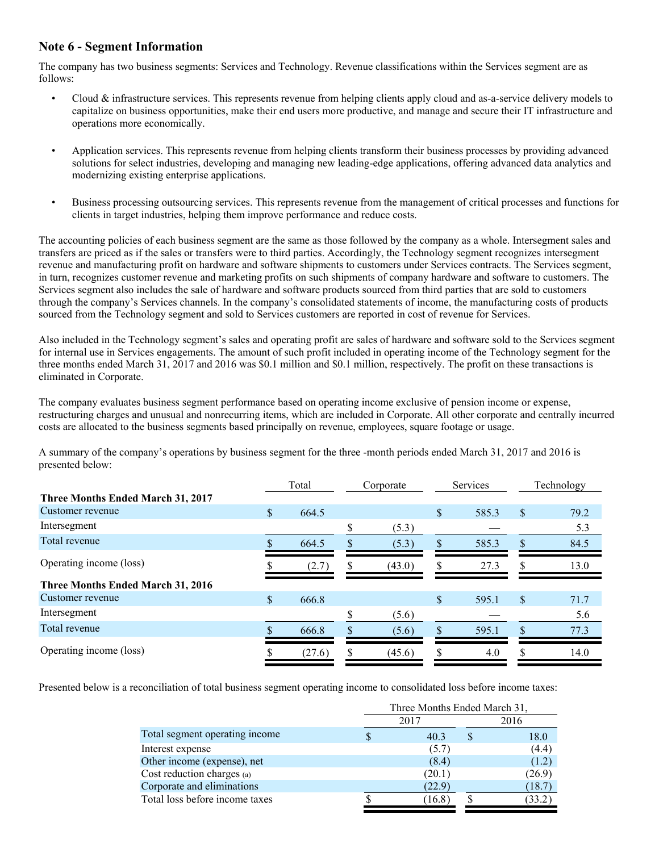# **Note 6 - Segment Information**

The company has two business segments: Services and Technology. Revenue classifications within the Services segment are as follows:

- Cloud & infrastructure services. This represents revenue from helping clients apply cloud and as-a-service delivery models to capitalize on business opportunities, make their end users more productive, and manage and secure their IT infrastructure and operations more economically.
- Application services. This represents revenue from helping clients transform their business processes by providing advanced solutions for select industries, developing and managing new leading-edge applications, offering advanced data analytics and modernizing existing enterprise applications.
- Business processing outsourcing services. This represents revenue from the management of critical processes and functions for clients in target industries, helping them improve performance and reduce costs.

The accounting policies of each business segment are the same as those followed by the company as a whole. Intersegment sales and transfers are priced as if the sales or transfers were to third parties. Accordingly, the Technology segment recognizes intersegment revenue and manufacturing profit on hardware and software shipments to customers under Services contracts. The Services segment, in turn, recognizes customer revenue and marketing profits on such shipments of company hardware and software to customers. The Services segment also includes the sale of hardware and software products sourced from third parties that are sold to customers through the company's Services channels. In the company's consolidated statements of income, the manufacturing costs of products sourced from the Technology segment and sold to Services customers are reported in cost of revenue for Services.

Also included in the Technology segment's sales and operating profit are sales of hardware and software sold to the Services segment for internal use in Services engagements. The amount of such profit included in operating income of the Technology segment for the three months ended March 31, 2017 and 2016 was \$0.1 million and \$0.1 million, respectively. The profit on these transactions is eliminated in Corporate.

The company evaluates business segment performance based on operating income exclusive of pension income or expense, restructuring charges and unusual and nonrecurring items, which are included in Corporate. All other corporate and centrally incurred costs are allocated to the business segments based principally on revenue, employees, square footage or usage.

A summary of the company's operations by business segment for the three -month periods ended March 31, 2017 and 2016 is presented below:

|                                          | Total |        | Corporate |        | Services |       | Technology |      |
|------------------------------------------|-------|--------|-----------|--------|----------|-------|------------|------|
| <b>Three Months Ended March 31, 2017</b> |       |        |           |        |          |       |            |      |
| Customer revenue                         | \$    | 664.5  |           |        | \$       | 585.3 | \$         | 79.2 |
| Intersegment                             |       |        | ۰D.       | (5.3)  |          |       |            | 5.3  |
| Total revenue                            |       | 664.5  | .ъ        | (5.3)  | Ъ.       | 585.3 | \$         | 84.5 |
| Operating income (loss)                  |       | (2.7)  |           | (43.0) |          | 27.3  |            | 13.0 |
| <b>Three Months Ended March 31, 2016</b> |       |        |           |        |          |       |            |      |
| Customer revenue                         | \$    | 666.8  |           |        | \$       | 595.1 | \$         | 71.7 |
| Intersegment                             |       |        |           | (5.6)  |          |       |            | 5.6  |
| Total revenue                            |       | 666.8  |           | (5.6)  |          | 595.1 | \$         | 77.3 |
| Operating income (loss)                  |       | (27.6) |           | (45.6) |          | 4.0   | \$         | 14.0 |

Presented below is a reconciliation of total business segment operating income to consolidated loss before income taxes:

|                                | Three Months Ended March 31, |        |  |        |  |  |
|--------------------------------|------------------------------|--------|--|--------|--|--|
|                                | 2017                         |        |  | 2016   |  |  |
| Total segment operating income |                              | 40.3   |  | 18.0   |  |  |
| Interest expense               |                              | (5.7)  |  | (4.4)  |  |  |
| Other income (expense), net    |                              | (8.4)  |  | (1.2)  |  |  |
| Cost reduction charges (a)     |                              | (20.1) |  | (26.9) |  |  |
| Corporate and eliminations     |                              | (22.9) |  | (18.7) |  |  |
| Total loss before income taxes |                              | (16.8) |  | (33.2) |  |  |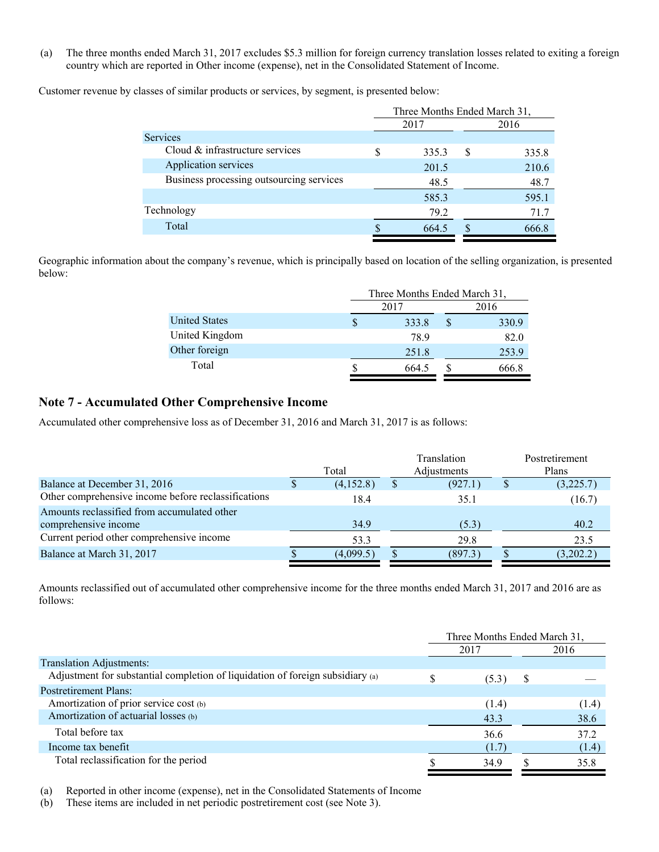(a) The three months ended March 31, 2017 excludes \$5.3 million for foreign currency translation losses related to exiting a foreign country which are reported in Other income (expense), net in the Consolidated Statement of Income.

Customer revenue by classes of similar products or services, by segment, is presented below:

|                                          | Three Months Ended March 31, |      |       |  |  |  |
|------------------------------------------|------------------------------|------|-------|--|--|--|
|                                          | 2017                         | 2016 |       |  |  |  |
| <b>Services</b>                          |                              |      |       |  |  |  |
| Cloud & infrastructure services          | 335.3                        | S    | 335.8 |  |  |  |
| Application services                     | 201.5                        |      | 210.6 |  |  |  |
| Business processing outsourcing services | 48.5                         |      | 48.7  |  |  |  |
|                                          | 585.3                        |      | 595.1 |  |  |  |
| Technology                               | 79.2                         |      | 71.7  |  |  |  |
| Total                                    | 664.5                        |      |       |  |  |  |

Geographic information about the company's revenue, which is principally based on location of the selling organization, is presented below:

|                      | Three Months Ended March 31, |       |   |       |  |
|----------------------|------------------------------|-------|---|-------|--|
|                      | 2017                         |       |   | 2016  |  |
| <b>United States</b> |                              | 333.8 | S | 330.9 |  |
| United Kingdom       |                              | 78.9  |   | 82.0  |  |
| Other foreign        |                              | 251.8 |   | 253.9 |  |
| Total                |                              | 664.5 |   | 666.8 |  |
|                      |                              |       |   |       |  |

## **Note 7 - Accumulated Other Comprehensive Income**

Accumulated other comprehensive loss as of December 31, 2016 and March 31, 2017 is as follows:

|                                                     | Total |           |   | Translation<br>Adjustments | Postretirement<br>Plans |           |  |
|-----------------------------------------------------|-------|-----------|---|----------------------------|-------------------------|-----------|--|
| Balance at December 31, 2016                        |       | (4,152.8) | S | (927.1)                    |                         | (3,225.7) |  |
| Other comprehensive income before reclassifications |       | 18.4      |   | 35.1                       |                         | (16.7)    |  |
| Amounts reclassified from accumulated other         |       |           |   |                            |                         |           |  |
| comprehensive income                                |       | 34.9      |   | (5.3)                      |                         | 40.2      |  |
| Current period other comprehensive income           |       | 53.3      |   | 29.8                       |                         | 23.5      |  |
| Balance at March 31, 2017                           |       | (4,099.5) |   | (897.3)                    |                         | (3,202.2) |  |

Amounts reclassified out of accumulated other comprehensive income for the three months ended March 31, 2017 and 2016 are as follows:

|                                                                                | Three Months Ended March 31, |       |    |       |
|--------------------------------------------------------------------------------|------------------------------|-------|----|-------|
|                                                                                |                              | 2017  |    | 2016  |
| Translation Adjustments:                                                       |                              |       |    |       |
| Adjustment for substantial completion of liquidation of foreign subsidiary (a) |                              | (5.3) | -S |       |
| <b>Postretirement Plans:</b>                                                   |                              |       |    |       |
| Amortization of prior service cost (b)                                         |                              | (1.4) |    | (1.4) |
| Amortization of actuarial losses (b)                                           |                              | 43.3  |    | 38.6  |
| Total before tax                                                               |                              | 36.6  |    | 37.2  |
| Income tax benefit                                                             |                              | (1.7) |    | (1.4) |
| Total reclassification for the period                                          |                              | 34.9  |    | 35.8  |

(a) Reported in other income (expense), net in the Consolidated Statements of Income

(b) These items are included in net periodic postretirement cost (see Note 3).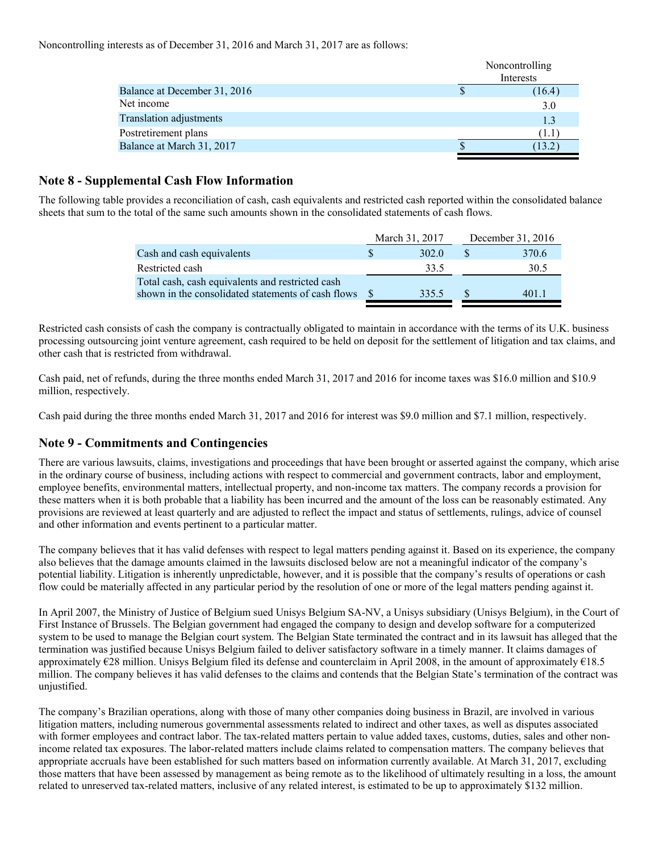Noncontrolling interests as of December 31, 2016 and March 31, 2017 are as follows:

|                              | Noncontrolling   |
|------------------------------|------------------|
|                              | <b>Interests</b> |
| Balance at December 31, 2016 | (16.4)           |
| Net income                   | 3.0              |
| Translation adjustments      | 1.3              |
| Postretirement plans         | (1.1)            |
| Balance at March 31, 2017    | 13.2             |

# **Note 8 - Supplemental Cash Flow Information**

The following table provides a reconciliation of cash, cash equivalents and restricted cash reported within the consolidated balance sheets that sum to the total of the same such amounts shown in the consolidated statements of cash flows.

|                                                                                                        | March 31, 2017 |       | December 31, 2016 |
|--------------------------------------------------------------------------------------------------------|----------------|-------|-------------------|
| Cash and cash equivalents                                                                              |                | 302.0 | 370.6             |
| Restricted cash                                                                                        |                | 33.5  | 30.5              |
| Total cash, cash equivalents and restricted cash<br>shown in the consolidated statements of cash flows |                | 335.5 | 4011              |

Restricted cash consists of cash the company is contractually obligated to maintain in accordance with the terms of its U.K. business processing outsourcing joint venture agreement, cash required to be held on deposit for the settlement of litigation and tax claims, and other cash that is restricted from withdrawal.

Cash paid, net of refunds, during the three months ended March 31, 2017 and 2016 for income taxes was \$16.0 million and \$10.9 million, respectively.

Cash paid during the three months ended March 31, 2017 and 2016 for interest was \$9.0 million and \$7.1 million, respectively.

## **Note 9 - Commitments and Contingencies**

There are various lawsuits, claims, investigations and proceedings that have been brought or asserted against the company, which arise in the ordinary course of business, including actions with respect to commercial and government contracts, labor and employment, employee benefits, environmental matters, intellectual property, and non-income tax matters. The company records a provision for these matters when it is both probable that a liability has been incurred and the amount of the loss can be reasonably estimated. Any provisions are reviewed at least quarterly and are adjusted to reflect the impact and status of settlements, rulings, advice of counsel and other information and events pertinent to a particular matter.

The company believes that it has valid defenses with respect to legal matters pending against it. Based on its experience, the company also believes that the damage amounts claimed in the lawsuits disclosed below are not a meaningful indicator of the company's potential liability. Litigation is inherently unpredictable, however, and it is possible that the company's results of operations or cash flow could be materially affected in any particular period by the resolution of one or more of the legal matters pending against it.

In April 2007, the Ministry of Justice of Belgium sued Unisys Belgium SA-NV, a Unisys subsidiary (Unisys Belgium), in the Court of First Instance of Brussels. The Belgian government had engaged the company to design and develop software for a computerized system to be used to manage the Belgian court system. The Belgian State terminated the contract and in its lawsuit has alleged that the termination was justified because Unisys Belgium failed to deliver satisfactory software in a timely manner. It claims damages of approximately €28 million. Unisys Belgium filed its defense and counterclaim in April 2008, in the amount of approximately €18.5 million. The company believes it has valid defenses to the claims and contends that the Belgian State's termination of the contract was unjustified.

The company's Brazilian operations, along with those of many other companies doing business in Brazil, are involved in various litigation matters, including numerous governmental assessments related to indirect and other taxes, as well as disputes associated with former employees and contract labor. The tax-related matters pertain to value added taxes, customs, duties, sales and other nonincome related tax exposures. The labor-related matters include claims related to compensation matters. The company believes that appropriate accruals have been established for such matters based on information currently available. At March 31, 2017, excluding those matters that have been assessed by management as being remote as to the likelihood of ultimately resulting in a loss, the amount related to unreserved tax-related matters, inclusive of any related interest, is estimated to be up to approximately \$132 million.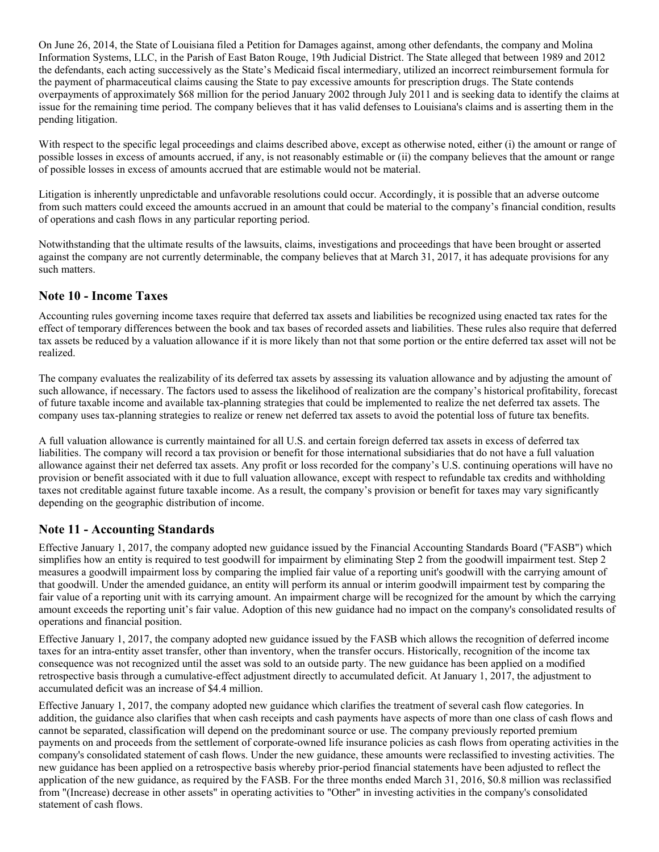On June 26, 2014, the State of Louisiana filed a Petition for Damages against, among other defendants, the company and Molina Information Systems, LLC, in the Parish of East Baton Rouge, 19th Judicial District. The State alleged that between 1989 and 2012 the defendants, each acting successively as the State's Medicaid fiscal intermediary, utilized an incorrect reimbursement formula for the payment of pharmaceutical claims causing the State to pay excessive amounts for prescription drugs. The State contends overpayments of approximately \$68 million for the period January 2002 through July 2011 and is seeking data to identify the claims at issue for the remaining time period. The company believes that it has valid defenses to Louisiana's claims and is asserting them in the pending litigation.

With respect to the specific legal proceedings and claims described above, except as otherwise noted, either (i) the amount or range of possible losses in excess of amounts accrued, if any, is not reasonably estimable or (ii) the company believes that the amount or range of possible losses in excess of amounts accrued that are estimable would not be material.

Litigation is inherently unpredictable and unfavorable resolutions could occur. Accordingly, it is possible that an adverse outcome from such matters could exceed the amounts accrued in an amount that could be material to the company's financial condition, results of operations and cash flows in any particular reporting period.

Notwithstanding that the ultimate results of the lawsuits, claims, investigations and proceedings that have been brought or asserted against the company are not currently determinable, the company believes that at March 31, 2017, it has adequate provisions for any such matters.

## **Note 10 - Income Taxes**

Accounting rules governing income taxes require that deferred tax assets and liabilities be recognized using enacted tax rates for the effect of temporary differences between the book and tax bases of recorded assets and liabilities. These rules also require that deferred tax assets be reduced by a valuation allowance if it is more likely than not that some portion or the entire deferred tax asset will not be realized.

The company evaluates the realizability of its deferred tax assets by assessing its valuation allowance and by adjusting the amount of such allowance, if necessary. The factors used to assess the likelihood of realization are the company's historical profitability, forecast of future taxable income and available tax-planning strategies that could be implemented to realize the net deferred tax assets. The company uses tax-planning strategies to realize or renew net deferred tax assets to avoid the potential loss of future tax benefits.

A full valuation allowance is currently maintained for all U.S. and certain foreign deferred tax assets in excess of deferred tax liabilities. The company will record a tax provision or benefit for those international subsidiaries that do not have a full valuation allowance against their net deferred tax assets. Any profit or loss recorded for the company's U.S. continuing operations will have no provision or benefit associated with it due to full valuation allowance, except with respect to refundable tax credits and withholding taxes not creditable against future taxable income. As a result, the company's provision or benefit for taxes may vary significantly depending on the geographic distribution of income.

# **Note 11 - Accounting Standards**

Effective January 1, 2017, the company adopted new guidance issued by the Financial Accounting Standards Board ("FASB") which simplifies how an entity is required to test goodwill for impairment by eliminating Step 2 from the goodwill impairment test. Step 2 measures a goodwill impairment loss by comparing the implied fair value of a reporting unit's goodwill with the carrying amount of that goodwill. Under the amended guidance, an entity will perform its annual or interim goodwill impairment test by comparing the fair value of a reporting unit with its carrying amount. An impairment charge will be recognized for the amount by which the carrying amount exceeds the reporting unit's fair value. Adoption of this new guidance had no impact on the company's consolidated results of operations and financial position.

Effective January 1, 2017, the company adopted new guidance issued by the FASB which allows the recognition of deferred income taxes for an intra-entity asset transfer, other than inventory, when the transfer occurs. Historically, recognition of the income tax consequence was not recognized until the asset was sold to an outside party. The new guidance has been applied on a modified retrospective basis through a cumulative-effect adjustment directly to accumulated deficit. At January 1, 2017, the adjustment to accumulated deficit was an increase of \$4.4 million.

Effective January 1, 2017, the company adopted new guidance which clarifies the treatment of several cash flow categories. In addition, the guidance also clarifies that when cash receipts and cash payments have aspects of more than one class of cash flows and cannot be separated, classification will depend on the predominant source or use. The company previously reported premium payments on and proceeds from the settlement of corporate-owned life insurance policies as cash flows from operating activities in the company's consolidated statement of cash flows. Under the new guidance, these amounts were reclassified to investing activities. The new guidance has been applied on a retrospective basis whereby prior-period financial statements have been adjusted to reflect the application of the new guidance, as required by the FASB. For the three months ended March 31, 2016, \$0.8 million was reclassified from "(Increase) decrease in other assets" in operating activities to "Other" in investing activities in the company's consolidated statement of cash flows.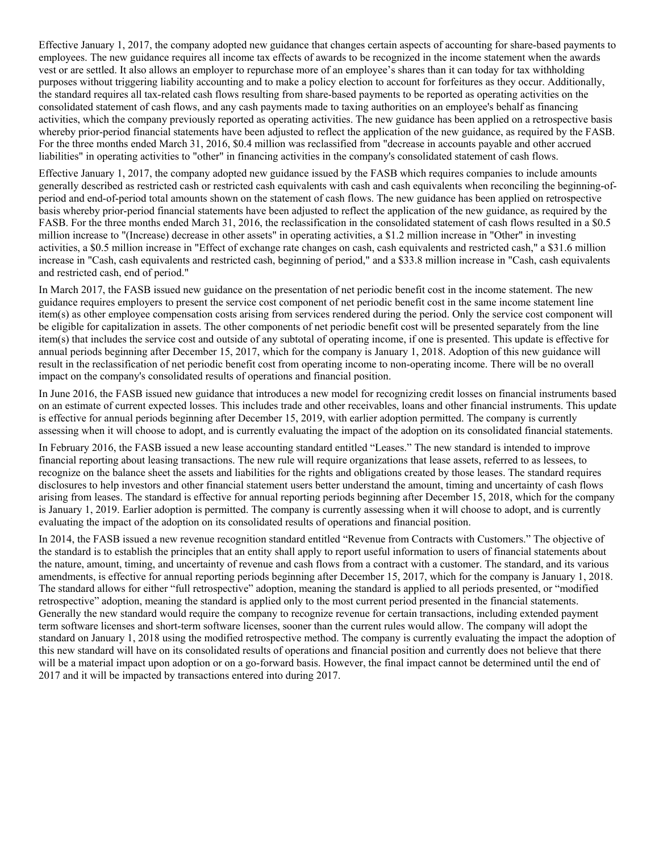Effective January 1, 2017, the company adopted new guidance that changes certain aspects of accounting for share-based payments to employees. The new guidance requires all income tax effects of awards to be recognized in the income statement when the awards vest or are settled. It also allows an employer to repurchase more of an employee's shares than it can today for tax withholding purposes without triggering liability accounting and to make a policy election to account for forfeitures as they occur. Additionally, the standard requires all tax-related cash flows resulting from share-based payments to be reported as operating activities on the consolidated statement of cash flows, and any cash payments made to taxing authorities on an employee's behalf as financing activities, which the company previously reported as operating activities. The new guidance has been applied on a retrospective basis whereby prior-period financial statements have been adjusted to reflect the application of the new guidance, as required by the FASB. For the three months ended March 31, 2016, \$0.4 million was reclassified from "decrease in accounts payable and other accrued liabilities" in operating activities to "other" in financing activities in the company's consolidated statement of cash flows.

Effective January 1, 2017, the company adopted new guidance issued by the FASB which requires companies to include amounts generally described as restricted cash or restricted cash equivalents with cash and cash equivalents when reconciling the beginning-ofperiod and end-of-period total amounts shown on the statement of cash flows. The new guidance has been applied on retrospective basis whereby prior-period financial statements have been adjusted to reflect the application of the new guidance, as required by the FASB. For the three months ended March 31, 2016, the reclassification in the consolidated statement of cash flows resulted in a \$0.5 million increase to "(Increase) decrease in other assets" in operating activities, a \$1.2 million increase in "Other" in investing activities, a \$0.5 million increase in "Effect of exchange rate changes on cash, cash equivalents and restricted cash," a \$31.6 million increase in "Cash, cash equivalents and restricted cash, beginning of period," and a \$33.8 million increase in "Cash, cash equivalents and restricted cash, end of period."

In March 2017, the FASB issued new guidance on the presentation of net periodic benefit cost in the income statement. The new guidance requires employers to present the service cost component of net periodic benefit cost in the same income statement line item(s) as other employee compensation costs arising from services rendered during the period. Only the service cost component will be eligible for capitalization in assets. The other components of net periodic benefit cost will be presented separately from the line item(s) that includes the service cost and outside of any subtotal of operating income, if one is presented. This update is effective for annual periods beginning after December 15, 2017, which for the company is January 1, 2018. Adoption of this new guidance will result in the reclassification of net periodic benefit cost from operating income to non-operating income. There will be no overall impact on the company's consolidated results of operations and financial position.

In June 2016, the FASB issued new guidance that introduces a new model for recognizing credit losses on financial instruments based on an estimate of current expected losses. This includes trade and other receivables, loans and other financial instruments. This update is effective for annual periods beginning after December 15, 2019, with earlier adoption permitted. The company is currently assessing when it will choose to adopt, and is currently evaluating the impact of the adoption on its consolidated financial statements.

In February 2016, the FASB issued a new lease accounting standard entitled "Leases." The new standard is intended to improve financial reporting about leasing transactions. The new rule will require organizations that lease assets, referred to as lessees, to recognize on the balance sheet the assets and liabilities for the rights and obligations created by those leases. The standard requires disclosures to help investors and other financial statement users better understand the amount, timing and uncertainty of cash flows arising from leases. The standard is effective for annual reporting periods beginning after December 15, 2018, which for the company is January 1, 2019. Earlier adoption is permitted. The company is currently assessing when it will choose to adopt, and is currently evaluating the impact of the adoption on its consolidated results of operations and financial position.

In 2014, the FASB issued a new revenue recognition standard entitled "Revenue from Contracts with Customers." The objective of the standard is to establish the principles that an entity shall apply to report useful information to users of financial statements about the nature, amount, timing, and uncertainty of revenue and cash flows from a contract with a customer. The standard, and its various amendments, is effective for annual reporting periods beginning after December 15, 2017, which for the company is January 1, 2018. The standard allows for either "full retrospective" adoption, meaning the standard is applied to all periods presented, or "modified retrospective" adoption, meaning the standard is applied only to the most current period presented in the financial statements. Generally the new standard would require the company to recognize revenue for certain transactions, including extended payment term software licenses and short-term software licenses, sooner than the current rules would allow. The company will adopt the standard on January 1, 2018 using the modified retrospective method. The company is currently evaluating the impact the adoption of this new standard will have on its consolidated results of operations and financial position and currently does not believe that there will be a material impact upon adoption or on a go-forward basis. However, the final impact cannot be determined until the end of 2017 and it will be impacted by transactions entered into during 2017.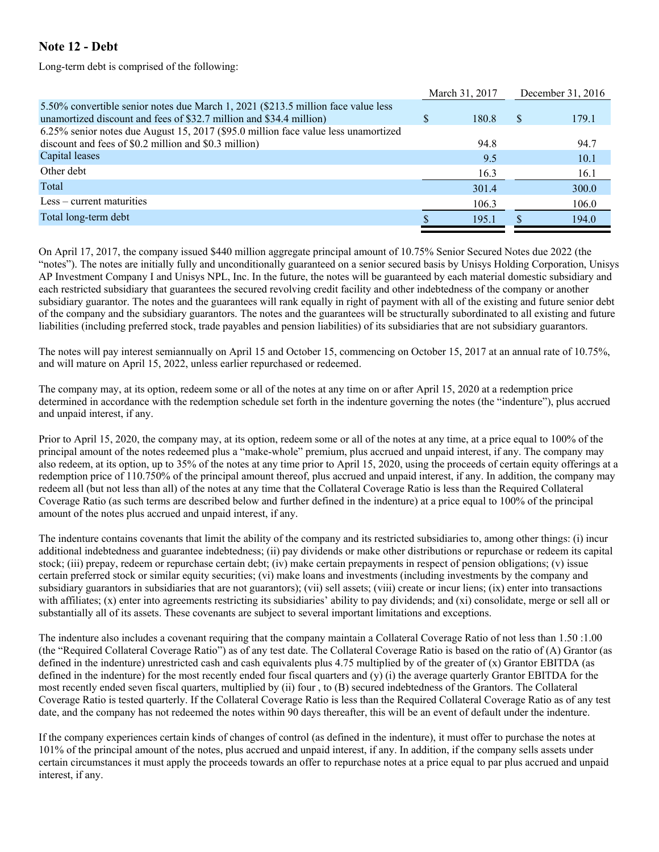# **Note 12 - Debt**

Long-term debt is comprised of the following:

|                                                                                    |   | March 31, 2017 | December 31, 2016 |
|------------------------------------------------------------------------------------|---|----------------|-------------------|
| 5.50% convertible senior notes due March 1, 2021 (\$213.5 million face value less  |   |                |                   |
| unamortized discount and fees of \$32.7 million and \$34.4 million)                | S | 180.8          | 179.1             |
| 6.25% senior notes due August 15, 2017 (\$95.0 million face value less unamortized |   |                |                   |
| discount and fees of \$0.2 million and \$0.3 million)                              |   | 94.8           | 94.7              |
| Capital leases                                                                     |   | 9.5            | 10.1              |
| Other debt                                                                         |   | 16.3           | 16.1              |
| Total                                                                              |   | 301.4          | 300.0             |
| $Less - current maturities$                                                        |   | 106.3          | 106.0             |
| Total long-term debt                                                               |   | 195.1          | 194.0             |

On April 17, 2017, the company issued \$440 million aggregate principal amount of 10.75% Senior Secured Notes due 2022 (the "notes"). The notes are initially fully and unconditionally guaranteed on a senior secured basis by Unisys Holding Corporation, Unisys AP Investment Company I and Unisys NPL, Inc. In the future, the notes will be guaranteed by each material domestic subsidiary and each restricted subsidiary that guarantees the secured revolving credit facility and other indebtedness of the company or another subsidiary guarantor. The notes and the guarantees will rank equally in right of payment with all of the existing and future senior debt of the company and the subsidiary guarantors. The notes and the guarantees will be structurally subordinated to all existing and future liabilities (including preferred stock, trade payables and pension liabilities) of its subsidiaries that are not subsidiary guarantors.

The notes will pay interest semiannually on April 15 and October 15, commencing on October 15, 2017 at an annual rate of 10.75%, and will mature on April 15, 2022, unless earlier repurchased or redeemed.

The company may, at its option, redeem some or all of the notes at any time on or after April 15, 2020 at a redemption price determined in accordance with the redemption schedule set forth in the indenture governing the notes (the "indenture"), plus accrued and unpaid interest, if any.

Prior to April 15, 2020, the company may, at its option, redeem some or all of the notes at any time, at a price equal to 100% of the principal amount of the notes redeemed plus a "make-whole" premium, plus accrued and unpaid interest, if any. The company may also redeem, at its option, up to 35% of the notes at any time prior to April 15, 2020, using the proceeds of certain equity offerings at a redemption price of 110.750% of the principal amount thereof, plus accrued and unpaid interest, if any. In addition, the company may redeem all (but not less than all) of the notes at any time that the Collateral Coverage Ratio is less than the Required Collateral Coverage Ratio (as such terms are described below and further defined in the indenture) at a price equal to 100% of the principal amount of the notes plus accrued and unpaid interest, if any.

The indenture contains covenants that limit the ability of the company and its restricted subsidiaries to, among other things: (i) incur additional indebtedness and guarantee indebtedness; (ii) pay dividends or make other distributions or repurchase or redeem its capital stock; (iii) prepay, redeem or repurchase certain debt; (iv) make certain prepayments in respect of pension obligations; (v) issue certain preferred stock or similar equity securities; (vi) make loans and investments (including investments by the company and subsidiary guarantors in subsidiaries that are not guarantors); (vii) sell assets; (viii) create or incur liens; (ix) enter into transactions with affiliates; (x) enter into agreements restricting its subsidiaries' ability to pay dividends; and (xi) consolidate, merge or sell all or substantially all of its assets. These covenants are subject to several important limitations and exceptions.

The indenture also includes a covenant requiring that the company maintain a Collateral Coverage Ratio of not less than 1.50 :1.00 (the "Required Collateral Coverage Ratio") as of any test date. The Collateral Coverage Ratio is based on the ratio of (A) Grantor (as defined in the indenture) unrestricted cash and cash equivalents plus 4.75 multiplied by of the greater of (x) Grantor EBITDA (as defined in the indenture) for the most recently ended four fiscal quarters and (y) (i) the average quarterly Grantor EBITDA for the most recently ended seven fiscal quarters, multiplied by (ii) four , to (B) secured indebtedness of the Grantors. The Collateral Coverage Ratio is tested quarterly. If the Collateral Coverage Ratio is less than the Required Collateral Coverage Ratio as of any test date, and the company has not redeemed the notes within 90 days thereafter, this will be an event of default under the indenture.

If the company experiences certain kinds of changes of control (as defined in the indenture), it must offer to purchase the notes at 101% of the principal amount of the notes, plus accrued and unpaid interest, if any. In addition, if the company sells assets under certain circumstances it must apply the proceeds towards an offer to repurchase notes at a price equal to par plus accrued and unpaid interest, if any.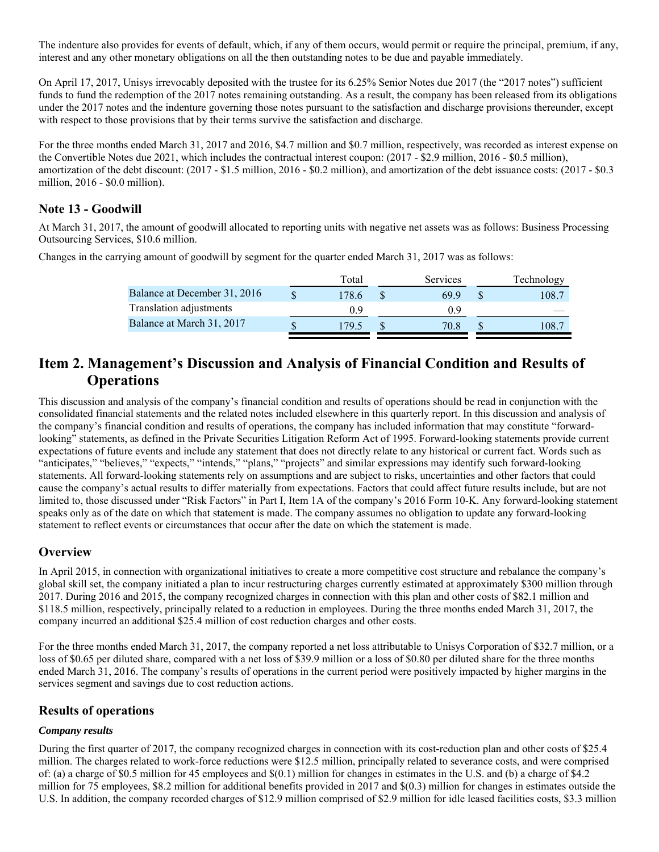The indenture also provides for events of default, which, if any of them occurs, would permit or require the principal, premium, if any, interest and any other monetary obligations on all the then outstanding notes to be due and payable immediately.

On April 17, 2017, Unisys irrevocably deposited with the trustee for its 6.25% Senior Notes due 2017 (the "2017 notes") sufficient funds to fund the redemption of the 2017 notes remaining outstanding. As a result, the company has been released from its obligations under the 2017 notes and the indenture governing those notes pursuant to the satisfaction and discharge provisions thereunder, except with respect to those provisions that by their terms survive the satisfaction and discharge.

For the three months ended March 31, 2017 and 2016, \$4.7 million and \$0.7 million, respectively, was recorded as interest expense on the Convertible Notes due 2021, which includes the contractual interest coupon: (2017 - \$2.9 million, 2016 - \$0.5 million), amortization of the debt discount: (2017 - \$1.5 million, 2016 - \$0.2 million), and amortization of the debt issuance costs: (2017 - \$0.3 million, 2016 - \$0.0 million).

## **Note 13 - Goodwill**

At March 31, 2017, the amount of goodwill allocated to reporting units with negative net assets was as follows: Business Processing Outsourcing Services, \$10.6 million.

Changes in the carrying amount of goodwill by segment for the quarter ended March 31, 2017 was as follows:

|                              | Total | <b>Services</b> | Technology |
|------------------------------|-------|-----------------|------------|
| Balance at December 31, 2016 | 178.6 | 69.9            | 108.7      |
| Translation adjustments      | 0.9   | 0.9             |            |
| Balance at March 31, 2017    | 179.5 | 70.8            | 108.7      |
|                              |       |                 |            |

# **Item 2. Management's Discussion and Analysis of Financial Condition and Results of Operations**

This discussion and analysis of the company's financial condition and results of operations should be read in conjunction with the consolidated financial statements and the related notes included elsewhere in this quarterly report. In this discussion and analysis of the company's financial condition and results of operations, the company has included information that may constitute "forwardlooking" statements, as defined in the Private Securities Litigation Reform Act of 1995. Forward-looking statements provide current expectations of future events and include any statement that does not directly relate to any historical or current fact. Words such as "anticipates," "believes," "expects," "intends," "plans," "projects" and similar expressions may identify such forward-looking statements. All forward-looking statements rely on assumptions and are subject to risks, uncertainties and other factors that could cause the company's actual results to differ materially from expectations. Factors that could affect future results include, but are not limited to, those discussed under "Risk Factors" in Part I, Item 1A of the company's 2016 Form 10-K. Any forward-looking statement speaks only as of the date on which that statement is made. The company assumes no obligation to update any forward-looking statement to reflect events or circumstances that occur after the date on which the statement is made.

## **Overview**

In April 2015, in connection with organizational initiatives to create a more competitive cost structure and rebalance the company's global skill set, the company initiated a plan to incur restructuring charges currently estimated at approximately \$300 million through 2017. During 2016 and 2015, the company recognized charges in connection with this plan and other costs of \$82.1 million and \$118.5 million, respectively, principally related to a reduction in employees. During the three months ended March 31, 2017, the company incurred an additional \$25.4 million of cost reduction charges and other costs.

For the three months ended March 31, 2017, the company reported a net loss attributable to Unisys Corporation of \$32.7 million, or a loss of \$0.65 per diluted share, compared with a net loss of \$39.9 million or a loss of \$0.80 per diluted share for the three months ended March 31, 2016. The company's results of operations in the current period were positively impacted by higher margins in the services segment and savings due to cost reduction actions.

## **Results of operations**

### *Company results*

During the first quarter of 2017, the company recognized charges in connection with its cost-reduction plan and other costs of \$25.4 million. The charges related to work-force reductions were \$12.5 million, principally related to severance costs, and were comprised of: (a) a charge of \$0.5 million for 45 employees and \$(0.1) million for changes in estimates in the U.S. and (b) a charge of \$4.2 million for 75 employees, \$8.2 million for additional benefits provided in 2017 and \$(0.3) million for changes in estimates outside the U.S. In addition, the company recorded charges of \$12.9 million comprised of \$2.9 million for idle leased facilities costs, \$3.3 million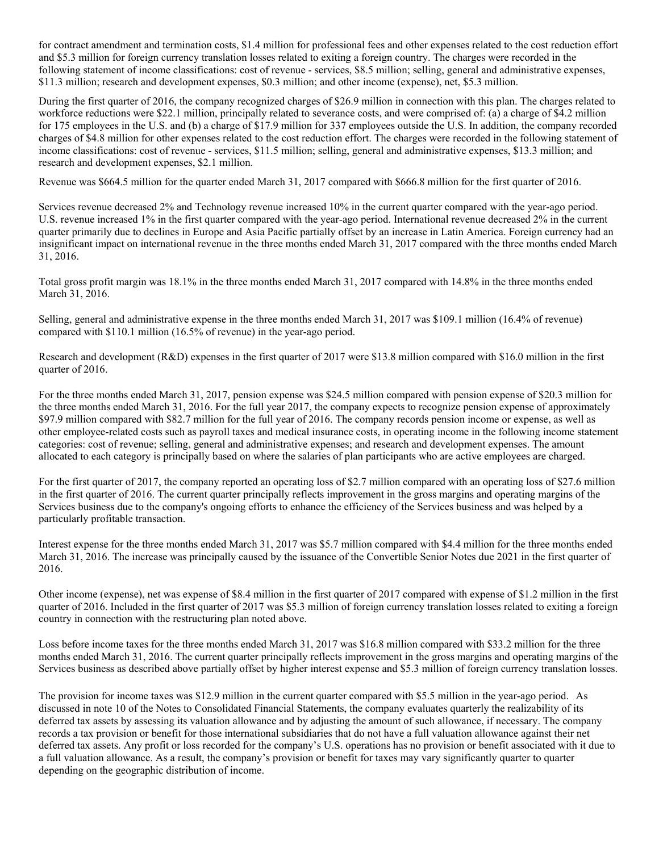for contract amendment and termination costs, \$1.4 million for professional fees and other expenses related to the cost reduction effort and \$5.3 million for foreign currency translation losses related to exiting a foreign country. The charges were recorded in the following statement of income classifications: cost of revenue - services, \$8.5 million; selling, general and administrative expenses, \$11.3 million; research and development expenses, \$0.3 million; and other income (expense), net, \$5.3 million.

During the first quarter of 2016, the company recognized charges of \$26.9 million in connection with this plan. The charges related to workforce reductions were \$22.1 million, principally related to severance costs, and were comprised of: (a) a charge of \$4.2 million for 175 employees in the U.S. and (b) a charge of \$17.9 million for 337 employees outside the U.S. In addition, the company recorded charges of \$4.8 million for other expenses related to the cost reduction effort. The charges were recorded in the following statement of income classifications: cost of revenue - services, \$11.5 million; selling, general and administrative expenses, \$13.3 million; and research and development expenses, \$2.1 million.

Revenue was \$664.5 million for the quarter ended March 31, 2017 compared with \$666.8 million for the first quarter of 2016.

Services revenue decreased 2% and Technology revenue increased 10% in the current quarter compared with the year-ago period. U.S. revenue increased 1% in the first quarter compared with the year-ago period. International revenue decreased 2% in the current quarter primarily due to declines in Europe and Asia Pacific partially offset by an increase in Latin America. Foreign currency had an insignificant impact on international revenue in the three months ended March 31, 2017 compared with the three months ended March 31, 2016.

Total gross profit margin was 18.1% in the three months ended March 31, 2017 compared with 14.8% in the three months ended March 31, 2016.

Selling, general and administrative expense in the three months ended March 31, 2017 was \$109.1 million (16.4% of revenue) compared with \$110.1 million (16.5% of revenue) in the year-ago period.

Research and development (R&D) expenses in the first quarter of 2017 were \$13.8 million compared with \$16.0 million in the first quarter of 2016.

For the three months ended March 31, 2017, pension expense was \$24.5 million compared with pension expense of \$20.3 million for the three months ended March 31, 2016. For the full year 2017, the company expects to recognize pension expense of approximately \$97.9 million compared with \$82.7 million for the full year of 2016. The company records pension income or expense, as well as other employee-related costs such as payroll taxes and medical insurance costs, in operating income in the following income statement categories: cost of revenue; selling, general and administrative expenses; and research and development expenses. The amount allocated to each category is principally based on where the salaries of plan participants who are active employees are charged.

For the first quarter of 2017, the company reported an operating loss of \$2.7 million compared with an operating loss of \$27.6 million in the first quarter of 2016. The current quarter principally reflects improvement in the gross margins and operating margins of the Services business due to the company's ongoing efforts to enhance the efficiency of the Services business and was helped by a particularly profitable transaction.

Interest expense for the three months ended March 31, 2017 was \$5.7 million compared with \$4.4 million for the three months ended March 31, 2016. The increase was principally caused by the issuance of the Convertible Senior Notes due 2021 in the first quarter of 2016.

Other income (expense), net was expense of \$8.4 million in the first quarter of 2017 compared with expense of \$1.2 million in the first quarter of 2016. Included in the first quarter of 2017 was \$5.3 million of foreign currency translation losses related to exiting a foreign country in connection with the restructuring plan noted above.

Loss before income taxes for the three months ended March 31, 2017 was \$16.8 million compared with \$33.2 million for the three months ended March 31, 2016. The current quarter principally reflects improvement in the gross margins and operating margins of the Services business as described above partially offset by higher interest expense and \$5.3 million of foreign currency translation losses.

The provision for income taxes was \$12.9 million in the current quarter compared with \$5.5 million in the year-ago period. As discussed in note 10 of the Notes to Consolidated Financial Statements, the company evaluates quarterly the realizability of its deferred tax assets by assessing its valuation allowance and by adjusting the amount of such allowance, if necessary. The company records a tax provision or benefit for those international subsidiaries that do not have a full valuation allowance against their net deferred tax assets. Any profit or loss recorded for the company's U.S. operations has no provision or benefit associated with it due to a full valuation allowance. As a result, the company's provision or benefit for taxes may vary significantly quarter to quarter depending on the geographic distribution of income.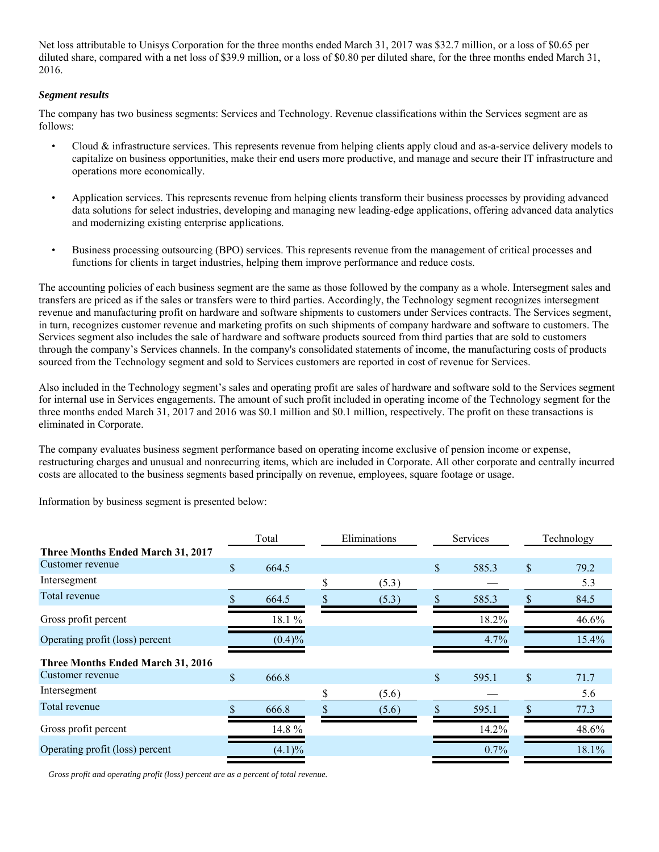Net loss attributable to Unisys Corporation for the three months ended March 31, 2017 was \$32.7 million, or a loss of \$0.65 per diluted share, compared with a net loss of \$39.9 million, or a loss of \$0.80 per diluted share, for the three months ended March 31, 2016.

#### *Segment results*

The company has two business segments: Services and Technology. Revenue classifications within the Services segment are as follows:

- Cloud & infrastructure services. This represents revenue from helping clients apply cloud and as-a-service delivery models to capitalize on business opportunities, make their end users more productive, and manage and secure their IT infrastructure and operations more economically.
- Application services. This represents revenue from helping clients transform their business processes by providing advanced data solutions for select industries, developing and managing new leading-edge applications, offering advanced data analytics and modernizing existing enterprise applications.
- Business processing outsourcing (BPO) services. This represents revenue from the management of critical processes and functions for clients in target industries, helping them improve performance and reduce costs.

The accounting policies of each business segment are the same as those followed by the company as a whole. Intersegment sales and transfers are priced as if the sales or transfers were to third parties. Accordingly, the Technology segment recognizes intersegment revenue and manufacturing profit on hardware and software shipments to customers under Services contracts. The Services segment, in turn, recognizes customer revenue and marketing profits on such shipments of company hardware and software to customers. The Services segment also includes the sale of hardware and software products sourced from third parties that are sold to customers through the company's Services channels. In the company's consolidated statements of income, the manufacturing costs of products sourced from the Technology segment and sold to Services customers are reported in cost of revenue for Services.

Also included in the Technology segment's sales and operating profit are sales of hardware and software sold to the Services segment for internal use in Services engagements. The amount of such profit included in operating income of the Technology segment for the three months ended March 31, 2017 and 2016 was \$0.1 million and \$0.1 million, respectively. The profit on these transactions is eliminated in Corporate.

The company evaluates business segment performance based on operating income exclusive of pension income or expense, restructuring charges and unusual and nonrecurring items, which are included in Corporate. All other corporate and centrally incurred costs are allocated to the business segments based principally on revenue, employees, square footage or usage.

Information by business segment is presented below:

|                                          | Eliminations<br>Total |           |       | Services      | Technology |    |       |
|------------------------------------------|-----------------------|-----------|-------|---------------|------------|----|-------|
| Three Months Ended March 31, 2017        |                       |           |       |               |            |    |       |
| Customer revenue                         | \$                    | 664.5     |       | $\mathcal{S}$ | 585.3      | \$ | 79.2  |
| Intersegment                             |                       |           | (5.3) |               |            |    | 5.3   |
| Total revenue                            |                       | 664.5     | (5.3) |               | 585.3      |    | 84.5  |
| Gross profit percent                     |                       | 18.1%     |       |               | 18.2%      |    | 46.6% |
| Operating profit (loss) percent          |                       | $(0.4)\%$ |       |               | 4.7%       |    | 15.4% |
| <b>Three Months Ended March 31, 2016</b> |                       |           |       |               |            |    |       |
| Customer revenue                         | \$                    | 666.8     |       | $\mathcal{S}$ | 595.1      | \$ | 71.7  |
| Intersegment                             |                       |           | (5.6) |               |            |    | 5.6   |
| Total revenue                            |                       | 666.8     | (5.6) |               | 595.1      |    | 77.3  |
| Gross profit percent                     |                       | 14.8 %    |       |               | 14.2%      |    | 48.6% |
| Operating profit (loss) percent          |                       | $(4.1)\%$ |       |               | 0.7%       |    | 18.1% |

*Gross profit and operating profit (loss) percent are as a percent of total revenue.*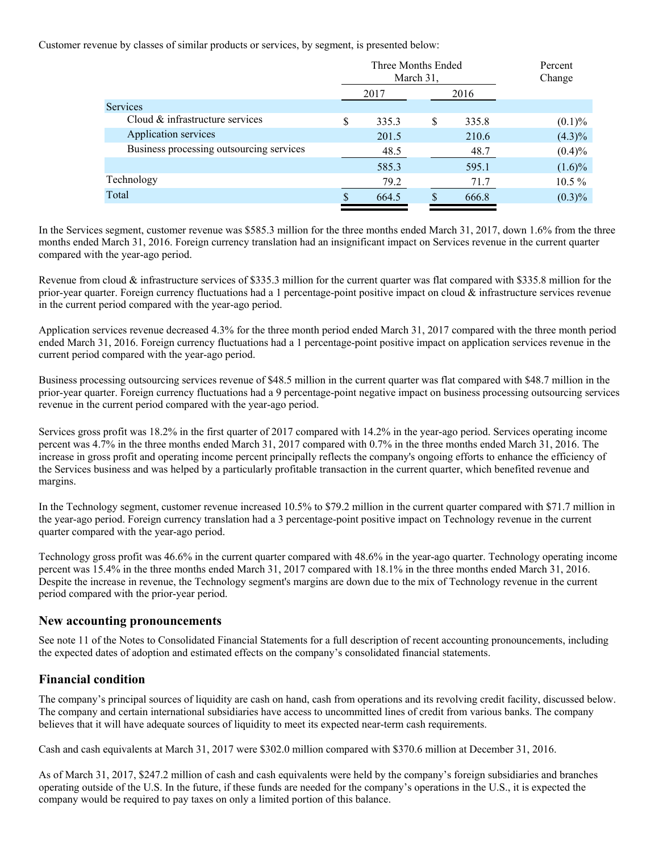Customer revenue by classes of similar products or services, by segment, is presented below:

|                                          |   | Three Months Ended<br>March 31, | Percent<br>Change |       |           |
|------------------------------------------|---|---------------------------------|-------------------|-------|-----------|
|                                          |   | 2016<br>2017                    |                   |       |           |
| <b>Services</b>                          |   |                                 |                   |       |           |
| Cloud & infrastructure services          | S | 335.3                           | S                 | 335.8 | (0.1)%    |
| Application services                     |   | 201.5                           |                   | 210.6 | $(4.3)\%$ |
| Business processing outsourcing services |   | 48.5                            |                   | 48.7  | $(0.4)\%$ |
|                                          |   | 585.3                           |                   | 595.1 | $(1.6)\%$ |
| Technology                               |   | 79.2                            |                   | 71.7  | $10.5\%$  |
| Total                                    |   | 664.5                           | S                 | 666.8 | $(0.3)\%$ |
|                                          |   |                                 |                   |       |           |

In the Services segment, customer revenue was \$585.3 million for the three months ended March 31, 2017, down 1.6% from the three months ended March 31, 2016. Foreign currency translation had an insignificant impact on Services revenue in the current quarter compared with the year-ago period.

Revenue from cloud & infrastructure services of \$335.3 million for the current quarter was flat compared with \$335.8 million for the prior-year quarter. Foreign currency fluctuations had a 1 percentage-point positive impact on cloud & infrastructure services revenue in the current period compared with the year-ago period.

Application services revenue decreased 4.3% for the three month period ended March 31, 2017 compared with the three month period ended March 31, 2016. Foreign currency fluctuations had a 1 percentage-point positive impact on application services revenue in the current period compared with the year-ago period.

Business processing outsourcing services revenue of \$48.5 million in the current quarter was flat compared with \$48.7 million in the prior-year quarter. Foreign currency fluctuations had a 9 percentage-point negative impact on business processing outsourcing services revenue in the current period compared with the year-ago period.

Services gross profit was 18.2% in the first quarter of 2017 compared with 14.2% in the year-ago period. Services operating income percent was 4.7% in the three months ended March 31, 2017 compared with 0.7% in the three months ended March 31, 2016. The increase in gross profit and operating income percent principally reflects the company's ongoing efforts to enhance the efficiency of the Services business and was helped by a particularly profitable transaction in the current quarter, which benefited revenue and margins.

In the Technology segment, customer revenue increased 10.5% to \$79.2 million in the current quarter compared with \$71.7 million in the year-ago period. Foreign currency translation had a 3 percentage-point positive impact on Technology revenue in the current quarter compared with the year-ago period.

Technology gross profit was 46.6% in the current quarter compared with 48.6% in the year-ago quarter. Technology operating income percent was 15.4% in the three months ended March 31, 2017 compared with 18.1% in the three months ended March 31, 2016. Despite the increase in revenue, the Technology segment's margins are down due to the mix of Technology revenue in the current period compared with the prior-year period.

### **New accounting pronouncements**

See note 11 of the Notes to Consolidated Financial Statements for a full description of recent accounting pronouncements, including the expected dates of adoption and estimated effects on the company's consolidated financial statements.

## **Financial condition**

The company's principal sources of liquidity are cash on hand, cash from operations and its revolving credit facility, discussed below. The company and certain international subsidiaries have access to uncommitted lines of credit from various banks. The company believes that it will have adequate sources of liquidity to meet its expected near-term cash requirements.

Cash and cash equivalents at March 31, 2017 were \$302.0 million compared with \$370.6 million at December 31, 2016.

As of March 31, 2017, \$247.2 million of cash and cash equivalents were held by the company's foreign subsidiaries and branches operating outside of the U.S. In the future, if these funds are needed for the company's operations in the U.S., it is expected the company would be required to pay taxes on only a limited portion of this balance.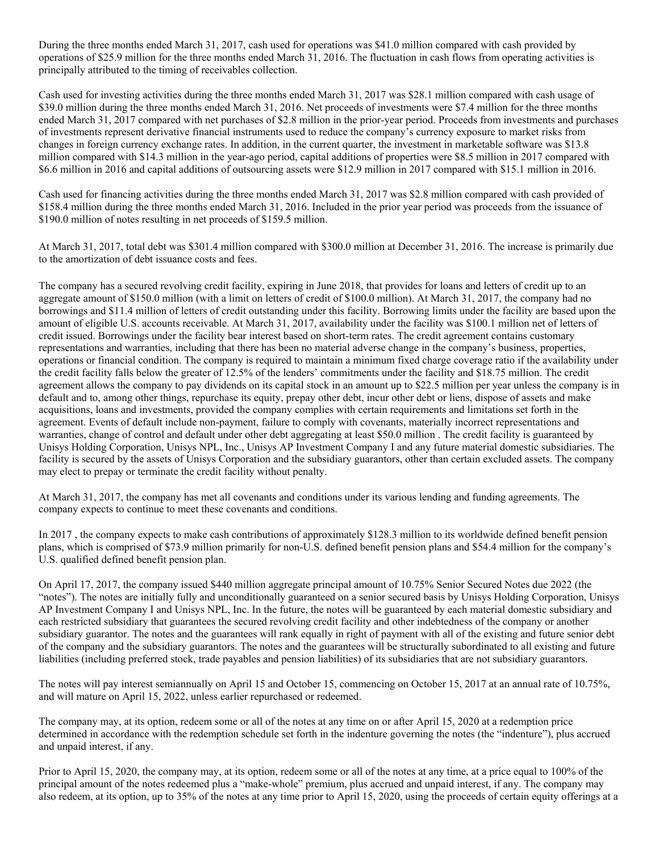During the three months ended March 31, 2017, cash used for operations was \$41.0 million compared with cash provided by operations of \$25.9 million for the three months ended March 31, 2016. The fluctuation in cash flows from operating activities is principally attributed to the timing of receivables collection.

Cash used for investing activities during the three months ended March 31, 2017 was \$28.1 million compared with cash usage of \$39.0 million during the three months ended March 31, 2016. Net proceeds of investments were \$7.4 million for the three months ended March 31, 2017 compared with net purchases of \$2.8 million in the prior-year period. Proceeds from investments and purchases of investments represent derivative financial instruments used to reduce the company's currency exposure to market risks from changes in foreign currency exchange rates. In addition, in the current quarter, the investment in marketable software was \$13.8 million compared with \$14.3 million in the year-ago period, capital additions of properties were \$8.5 million in 2017 compared with \$6.6 million in 2016 and capital additions of outsourcing assets were \$12.9 million in 2017 compared with \$15.1 million in 2016.

Cash used for financing activities during the three months ended March 31, 2017 was \$2.8 million compared with cash provided of \$158.4 million during the three months ended March 31, 2016. Included in the prior year period was proceeds from the issuance of \$190.0 million of notes resulting in net proceeds of \$159.5 million.

At March 31, 2017, total debt was \$301.4 million compared with \$300.0 million at December 31, 2016. The increase is primarily due to the amortization of debt issuance costs and fees.

The company has a secured revolving credit facility, expiring in June 2018, that provides for loans and letters of credit up to an aggregate amount of \$150.0 million (with a limit on letters of credit of \$100.0 million). At March 31, 2017, the company had no borrowings and \$11.4 million of letters of credit outstanding under this facility. Borrowing limits under the facility are based upon the amount of eligible U.S. accounts receivable. At March 31, 2017, availability under the facility was \$100.1 million net of letters of credit issued. Borrowings under the facility bear interest based on short-term rates. The credit agreement contains customary representations and warranties, including that there has been no material adverse change in the company's business, properties, operations or financial condition. The company is required to maintain a minimum fixed charge coverage ratio if the availability under the credit facility falls below the greater of 12.5% of the lenders' commitments under the facility and \$18.75 million. The credit agreement allows the company to pay dividends on its capital stock in an amount up to \$22.5 million per year unless the company is in default and to, among other things, repurchase its equity, prepay other debt, incur other debt or liens, dispose of assets and make acquisitions, loans and investments, provided the company complies with certain requirements and limitations set forth in the agreement. Events of default include non-payment, failure to comply with covenants, materially incorrect representations and warranties, change of control and default under other debt aggregating at least \$50.0 million . The credit facility is guaranteed by Unisys Holding Corporation, Unisys NPL, Inc., Unisys AP Investment Company I and any future material domestic subsidiaries. The facility is secured by the assets of Unisys Corporation and the subsidiary guarantors, other than certain excluded assets. The company may elect to prepay or terminate the credit facility without penalty.

At March 31, 2017, the company has met all covenants and conditions under its various lending and funding agreements. The company expects to continue to meet these covenants and conditions.

In 2017 , the company expects to make cash contributions of approximately \$128.3 million to its worldwide defined benefit pension plans, which is comprised of \$73.9 million primarily for non-U.S. defined benefit pension plans and \$54.4 million for the company's U.S. qualified defined benefit pension plan.

On April 17, 2017, the company issued \$440 million aggregate principal amount of 10.75% Senior Secured Notes due 2022 (the "notes"). The notes are initially fully and unconditionally guaranteed on a senior secured basis by Unisys Holding Corporation, Unisys AP Investment Company I and Unisys NPL, Inc. In the future, the notes will be guaranteed by each material domestic subsidiary and each restricted subsidiary that guarantees the secured revolving credit facility and other indebtedness of the company or another subsidiary guarantor. The notes and the guarantees will rank equally in right of payment with all of the existing and future senior debt of the company and the subsidiary guarantors. The notes and the guarantees will be structurally subordinated to all existing and future liabilities (including preferred stock, trade payables and pension liabilities) of its subsidiaries that are not subsidiary guarantors.

The notes will pay interest semiannually on April 15 and October 15, commencing on October 15, 2017 at an annual rate of 10.75%, and will mature on April 15, 2022, unless earlier repurchased or redeemed.

The company may, at its option, redeem some or all of the notes at any time on or after April 15, 2020 at a redemption price determined in accordance with the redemption schedule set forth in the indenture governing the notes (the "indenture"), plus accrued and unpaid interest, if any.

Prior to April 15, 2020, the company may, at its option, redeem some or all of the notes at any time, at a price equal to 100% of the principal amount of the notes redeemed plus a "make-whole" premium, plus accrued and unpaid interest, if any. The company may also redeem, at its option, up to 35% of the notes at any time prior to April 15, 2020, using the proceeds of certain equity offerings at a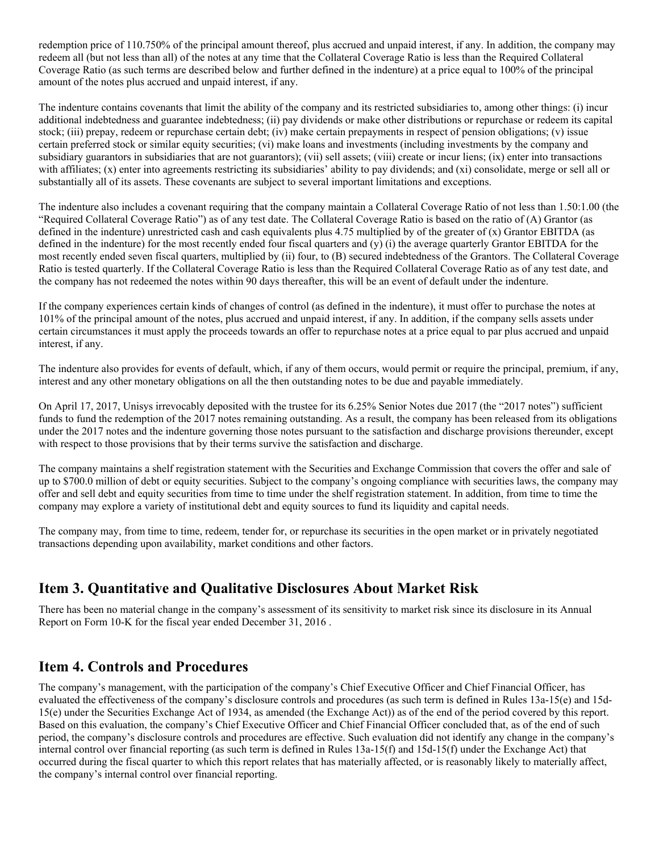redemption price of 110.750% of the principal amount thereof, plus accrued and unpaid interest, if any. In addition, the company may redeem all (but not less than all) of the notes at any time that the Collateral Coverage Ratio is less than the Required Collateral Coverage Ratio (as such terms are described below and further defined in the indenture) at a price equal to 100% of the principal amount of the notes plus accrued and unpaid interest, if any.

The indenture contains covenants that limit the ability of the company and its restricted subsidiaries to, among other things: (i) incur additional indebtedness and guarantee indebtedness; (ii) pay dividends or make other distributions or repurchase or redeem its capital stock; (iii) prepay, redeem or repurchase certain debt; (iv) make certain prepayments in respect of pension obligations; (v) issue certain preferred stock or similar equity securities; (vi) make loans and investments (including investments by the company and subsidiary guarantors in subsidiaries that are not guarantors); (vii) sell assets; (viii) create or incur liens; (ix) enter into transactions with affiliates; (x) enter into agreements restricting its subsidiaries' ability to pay dividends; and (xi) consolidate, merge or sell all or substantially all of its assets. These covenants are subject to several important limitations and exceptions.

The indenture also includes a covenant requiring that the company maintain a Collateral Coverage Ratio of not less than 1.50:1.00 (the "Required Collateral Coverage Ratio") as of any test date. The Collateral Coverage Ratio is based on the ratio of (A) Grantor (as defined in the indenture) unrestricted cash and cash equivalents plus 4.75 multiplied by of the greater of (x) Grantor EBITDA (as defined in the indenture) for the most recently ended four fiscal quarters and (y) (i) the average quarterly Grantor EBITDA for the most recently ended seven fiscal quarters, multiplied by (ii) four, to (B) secured indebtedness of the Grantors. The Collateral Coverage Ratio is tested quarterly. If the Collateral Coverage Ratio is less than the Required Collateral Coverage Ratio as of any test date, and the company has not redeemed the notes within 90 days thereafter, this will be an event of default under the indenture.

If the company experiences certain kinds of changes of control (as defined in the indenture), it must offer to purchase the notes at 101% of the principal amount of the notes, plus accrued and unpaid interest, if any. In addition, if the company sells assets under certain circumstances it must apply the proceeds towards an offer to repurchase notes at a price equal to par plus accrued and unpaid interest, if any.

The indenture also provides for events of default, which, if any of them occurs, would permit or require the principal, premium, if any, interest and any other monetary obligations on all the then outstanding notes to be due and payable immediately.

On April 17, 2017, Unisys irrevocably deposited with the trustee for its 6.25% Senior Notes due 2017 (the "2017 notes") sufficient funds to fund the redemption of the 2017 notes remaining outstanding. As a result, the company has been released from its obligations under the 2017 notes and the indenture governing those notes pursuant to the satisfaction and discharge provisions thereunder, except with respect to those provisions that by their terms survive the satisfaction and discharge.

The company maintains a shelf registration statement with the Securities and Exchange Commission that covers the offer and sale of up to \$700.0 million of debt or equity securities. Subject to the company's ongoing compliance with securities laws, the company may offer and sell debt and equity securities from time to time under the shelf registration statement. In addition, from time to time the company may explore a variety of institutional debt and equity sources to fund its liquidity and capital needs.

The company may, from time to time, redeem, tender for, or repurchase its securities in the open market or in privately negotiated transactions depending upon availability, market conditions and other factors.

# **Item 3. Quantitative and Qualitative Disclosures About Market Risk**

There has been no material change in the company's assessment of its sensitivity to market risk since its disclosure in its Annual Report on Form 10-K for the fiscal year ended December 31, 2016 .

# **Item 4. Controls and Procedures**

The company's management, with the participation of the company's Chief Executive Officer and Chief Financial Officer, has evaluated the effectiveness of the company's disclosure controls and procedures (as such term is defined in Rules 13a-15(e) and 15d-15(e) under the Securities Exchange Act of 1934, as amended (the Exchange Act)) as of the end of the period covered by this report. Based on this evaluation, the company's Chief Executive Officer and Chief Financial Officer concluded that, as of the end of such period, the company's disclosure controls and procedures are effective. Such evaluation did not identify any change in the company's internal control over financial reporting (as such term is defined in Rules 13a-15(f) and 15d-15(f) under the Exchange Act) that occurred during the fiscal quarter to which this report relates that has materially affected, or is reasonably likely to materially affect, the company's internal control over financial reporting.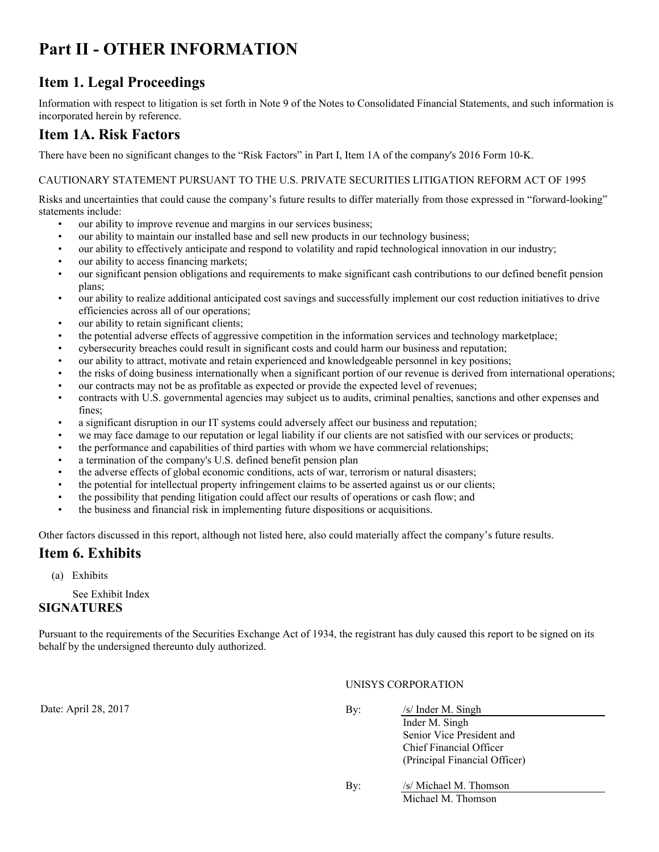# **Part II - OTHER INFORMATION**

# **Item 1. Legal Proceedings**

Information with respect to litigation is set forth in Note 9 of the Notes to Consolidated Financial Statements, and such information is incorporated herein by reference.

# **Item 1A. Risk Factors**

There have been no significant changes to the "Risk Factors" in Part I, Item 1A of the company's 2016 Form 10-K.

### CAUTIONARY STATEMENT PURSUANT TO THE U.S. PRIVATE SECURITIES LITIGATION REFORM ACT OF 1995

Risks and uncertainties that could cause the company's future results to differ materially from those expressed in "forward-looking" statements include:

- our ability to improve revenue and margins in our services business;
- 
- our ability to maintain our installed base and sell new products in our technology business; our ability to effectively anticipate and respond to volatility and rapid technological innovation in our industry;
- our ability to access financing markets;
- our significant pension obligations and requirements to make significant cash contributions to our defined benefit pension plans;
- our ability to realize additional anticipated cost savings and successfully implement our cost reduction initiatives to drive efficiencies across all of our operations;
- our ability to retain significant clients;
- the potential adverse effects of aggressive competition in the information services and technology marketplace;
- cybersecurity breaches could result in significant costs and could harm our business and reputation;
- our ability to attract, motivate and retain experienced and knowledgeable personnel in key positions;
- the risks of doing business internationally when a significant portion of our revenue is derived from international operations;
- our contracts may not be as profitable as expected or provide the expected level of revenues;
- contracts with U.S. governmental agencies may subject us to audits, criminal penalties, sanctions and other expenses and fines;
- a significant disruption in our IT systems could adversely affect our business and reputation;
- we may face damage to our reputation or legal liability if our clients are not satisfied with our services or products;
- the performance and capabilities of third parties with whom we have commercial relationships;
- a termination of the company's U.S. defined benefit pension plan
- the adverse effects of global economic conditions, acts of war, terrorism or natural disasters;
- the potential for intellectual property infringement claims to be asserted against us or our clients;
- the possibility that pending litigation could affect our results of operations or cash flow; and
- the business and financial risk in implementing future dispositions or acquisitions.

Other factors discussed in this report, although not listed here, also could materially affect the company's future results.

# **Item 6. Exhibits**

(a) Exhibits

See Exhibit Index

# **SIGNATURES**

Pursuant to the requirements of the Securities Exchange Act of 1934, the registrant has duly caused this report to be signed on its behalf by the undersigned thereunto duly authorized.

UNISYS CORPORATION

Date: April 28, 2017 By: /s/ Inder M. Singh Inder M. Singh Senior Vice President and Chief Financial Officer (Principal Financial Officer)

> By: /s/ Michael M. Thomson Michael M. Thomson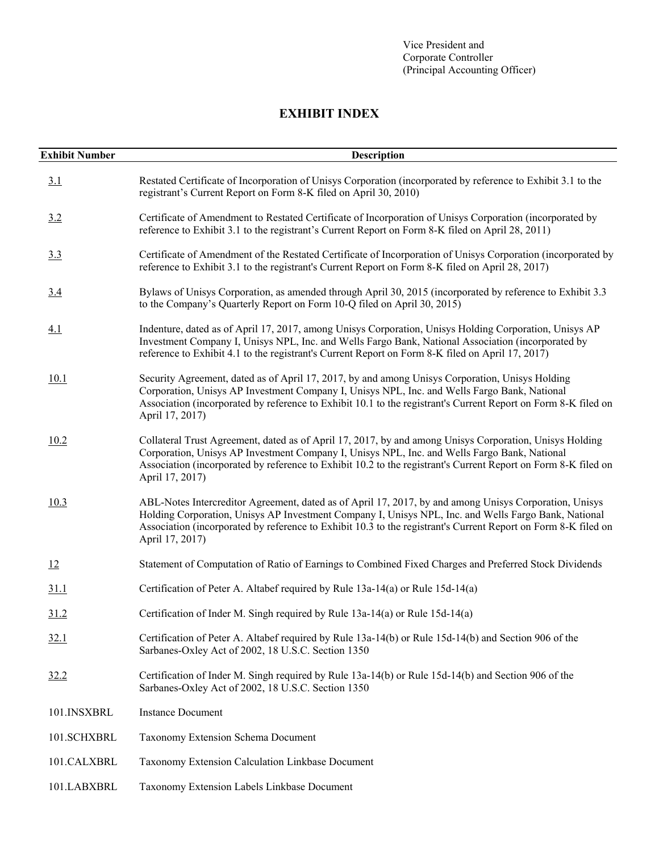# **EXHIBIT INDEX**

| <b>Exhibit Number</b> | <b>Description</b>                                                                                                                                                                                                                                                                                                                                  |  |  |  |  |  |  |
|-----------------------|-----------------------------------------------------------------------------------------------------------------------------------------------------------------------------------------------------------------------------------------------------------------------------------------------------------------------------------------------------|--|--|--|--|--|--|
| 3.1                   | Restated Certificate of Incorporation of Unisys Corporation (incorporated by reference to Exhibit 3.1 to the<br>registrant's Current Report on Form 8-K filed on April 30, 2010)                                                                                                                                                                    |  |  |  |  |  |  |
| 3.2                   | Certificate of Amendment to Restated Certificate of Incorporation of Unisys Corporation (incorporated by<br>reference to Exhibit 3.1 to the registrant's Current Report on Form 8-K filed on April 28, 2011)                                                                                                                                        |  |  |  |  |  |  |
| 3.3                   | Certificate of Amendment of the Restated Certificate of Incorporation of Unisys Corporation (incorporated by<br>reference to Exhibit 3.1 to the registrant's Current Report on Form 8-K filed on April 28, 2017)                                                                                                                                    |  |  |  |  |  |  |
| <u>3.4</u>            | Bylaws of Unisys Corporation, as amended through April 30, 2015 (incorporated by reference to Exhibit 3.3<br>to the Company's Quarterly Report on Form 10-Q filed on April 30, 2015)                                                                                                                                                                |  |  |  |  |  |  |
| <u>4.1</u>            | Indenture, dated as of April 17, 2017, among Unisys Corporation, Unisys Holding Corporation, Unisys AP<br>Investment Company I, Unisys NPL, Inc. and Wells Fargo Bank, National Association (incorporated by<br>reference to Exhibit 4.1 to the registrant's Current Report on Form 8-K filed on April 17, 2017)                                    |  |  |  |  |  |  |
| 10.1                  | Security Agreement, dated as of April 17, 2017, by and among Unisys Corporation, Unisys Holding<br>Corporation, Unisys AP Investment Company I, Unisys NPL, Inc. and Wells Fargo Bank, National<br>Association (incorporated by reference to Exhibit 10.1 to the registrant's Current Report on Form 8-K filed on<br>April 17, 2017)                |  |  |  |  |  |  |
| 10.2                  | Collateral Trust Agreement, dated as of April 17, 2017, by and among Unisys Corporation, Unisys Holding<br>Corporation, Unisys AP Investment Company I, Unisys NPL, Inc. and Wells Fargo Bank, National<br>Association (incorporated by reference to Exhibit 10.2 to the registrant's Current Report on Form 8-K filed on<br>April 17, 2017)        |  |  |  |  |  |  |
| 10.3                  | ABL-Notes Intercreditor Agreement, dated as of April 17, 2017, by and among Unisys Corporation, Unisys<br>Holding Corporation, Unisys AP Investment Company I, Unisys NPL, Inc. and Wells Fargo Bank, National<br>Association (incorporated by reference to Exhibit 10.3 to the registrant's Current Report on Form 8-K filed on<br>April 17, 2017) |  |  |  |  |  |  |
| 12                    | Statement of Computation of Ratio of Earnings to Combined Fixed Charges and Preferred Stock Dividends                                                                                                                                                                                                                                               |  |  |  |  |  |  |
| <u>31.1</u>           | Certification of Peter A. Altabef required by Rule 13a-14(a) or Rule 15d-14(a)                                                                                                                                                                                                                                                                      |  |  |  |  |  |  |
| 31.2                  | Certification of Inder M. Singh required by Rule 13a-14(a) or Rule 15d-14(a)                                                                                                                                                                                                                                                                        |  |  |  |  |  |  |
| <u>32.1</u>           | Certification of Peter A. Altabef required by Rule 13a-14(b) or Rule 15d-14(b) and Section 906 of the<br>Sarbanes-Oxley Act of 2002, 18 U.S.C. Section 1350                                                                                                                                                                                         |  |  |  |  |  |  |
| <u>32.2</u>           | Certification of Inder M. Singh required by Rule 13a-14(b) or Rule 15d-14(b) and Section 906 of the<br>Sarbanes-Oxley Act of 2002, 18 U.S.C. Section 1350                                                                                                                                                                                           |  |  |  |  |  |  |
| 101.INSXBRL           | <b>Instance Document</b>                                                                                                                                                                                                                                                                                                                            |  |  |  |  |  |  |
| 101.SCHXBRL           | Taxonomy Extension Schema Document                                                                                                                                                                                                                                                                                                                  |  |  |  |  |  |  |
| 101.CALXBRL           | Taxonomy Extension Calculation Linkbase Document                                                                                                                                                                                                                                                                                                    |  |  |  |  |  |  |
| 101.LABXBRL           | Taxonomy Extension Labels Linkbase Document                                                                                                                                                                                                                                                                                                         |  |  |  |  |  |  |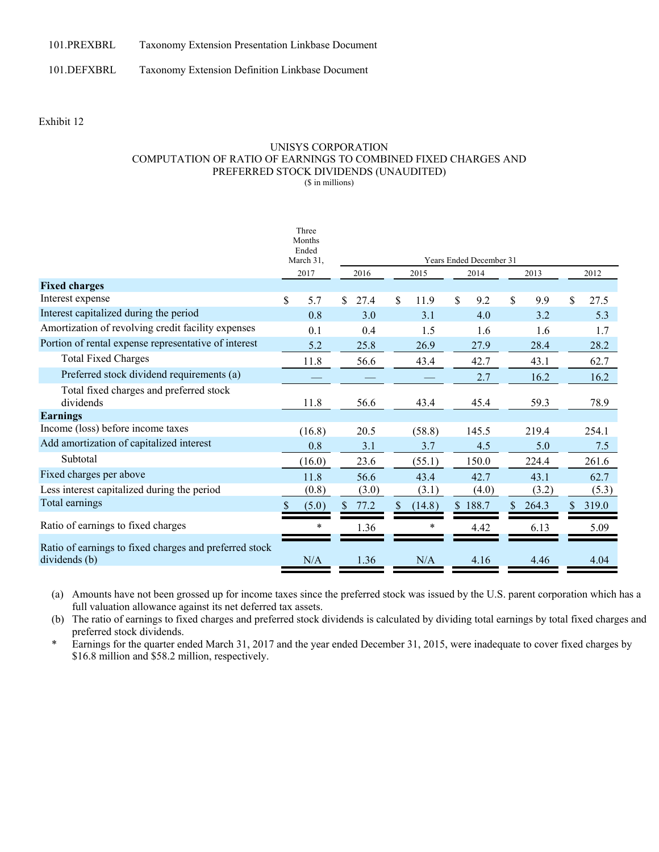101.PREXBRL Taxonomy Extension Presentation Linkbase Document

101.DEFXBRL Taxonomy Extension Definition Linkbase Document

Exhibit 12

#### UNISYS CORPORATION COMPUTATION OF RATIO OF EARNINGS TO COMBINED FIXED CHARGES AND PREFERRED STOCK DIVIDENDS (UNAUDITED) (\$ in millions)

| Three<br>Months<br>Ended<br>March 31.                                   |    |        | <b>Years Ended December 31</b> |       |    |        |    |       |    |       |     |       |  |
|-------------------------------------------------------------------------|----|--------|--------------------------------|-------|----|--------|----|-------|----|-------|-----|-------|--|
|                                                                         |    | 2017   |                                | 2016  |    | 2015   |    | 2014  |    | 2013  |     | 2012  |  |
| <b>Fixed charges</b><br>Interest expense                                |    |        |                                |       |    |        |    |       |    |       |     |       |  |
|                                                                         | \$ | 5.7    | \$                             | 27.4  | \$ | 11.9   | \$ | 9.2   | \$ | 9.9   | \$. | 27.5  |  |
| Interest capitalized during the period                                  |    | 0.8    |                                | 3.0   |    | 3.1    |    | 4.0   |    | 3.2   |     | 5.3   |  |
| Amortization of revolving credit facility expenses                      |    | 0.1    |                                | 0.4   |    | 1.5    |    | 1.6   |    | 1.6   |     | 1.7   |  |
| Portion of rental expense representative of interest                    |    | 5.2    |                                | 25.8  |    | 26.9   |    | 27.9  |    | 28.4  |     | 28.2  |  |
| <b>Total Fixed Charges</b>                                              |    | 11.8   |                                | 56.6  |    | 43.4   |    | 42.7  |    | 43.1  |     | 62.7  |  |
| Preferred stock dividend requirements (a)                               |    |        |                                |       |    |        |    | 2.7   |    | 16.2  |     | 16.2  |  |
| Total fixed charges and preferred stock<br>dividends                    |    | 11.8   |                                | 56.6  |    | 43.4   |    | 45.4  |    | 59.3  |     | 78.9  |  |
| <b>Earnings</b>                                                         |    |        |                                |       |    |        |    |       |    |       |     |       |  |
| Income (loss) before income taxes                                       |    | (16.8) |                                | 20.5  |    | (58.8) |    | 145.5 |    | 219.4 |     | 254.1 |  |
| Add amortization of capitalized interest                                |    | 0.8    |                                | 3.1   |    | 3.7    |    | 4.5   |    | 5.0   |     | 7.5   |  |
| Subtotal                                                                |    | (16.0) |                                | 23.6  |    | (55.1) |    | 150.0 |    | 224.4 |     | 261.6 |  |
| Fixed charges per above                                                 |    | 11.8   |                                | 56.6  |    | 43.4   |    | 42.7  |    | 43.1  |     | 62.7  |  |
| Less interest capitalized during the period                             |    | (0.8)  |                                | (3.0) |    | (3.1)  |    | (4.0) |    | (3.2) |     | (5.3) |  |
| Total earnings                                                          |    | (5.0)  | <sup>S</sup>                   | 77.2  | \$ | (14.8) |    | 188.7 | \$ | 264.3 |     | 319.0 |  |
| Ratio of earnings to fixed charges                                      |    | *      |                                | 1.36  |    | *      |    | 4.42  |    | 6.13  |     | 5.09  |  |
| Ratio of earnings to fixed charges and preferred stock<br>dividends (b) |    | N/A    |                                | 1.36  |    | N/A    |    | 4.16  |    | 4.46  |     | 4.04  |  |

(a) Amounts have not been grossed up for income taxes since the preferred stock was issued by the U.S. parent corporation which has a full valuation allowance against its net deferred tax assets.

(b) The ratio of earnings to fixed charges and preferred stock dividends is calculated by dividing total earnings by total fixed charges and preferred stock dividends.

\* Earnings for the quarter ended March 31, 2017 and the year ended December 31, 2015, were inadequate to cover fixed charges by \$16.8 million and \$58.2 million, respectively.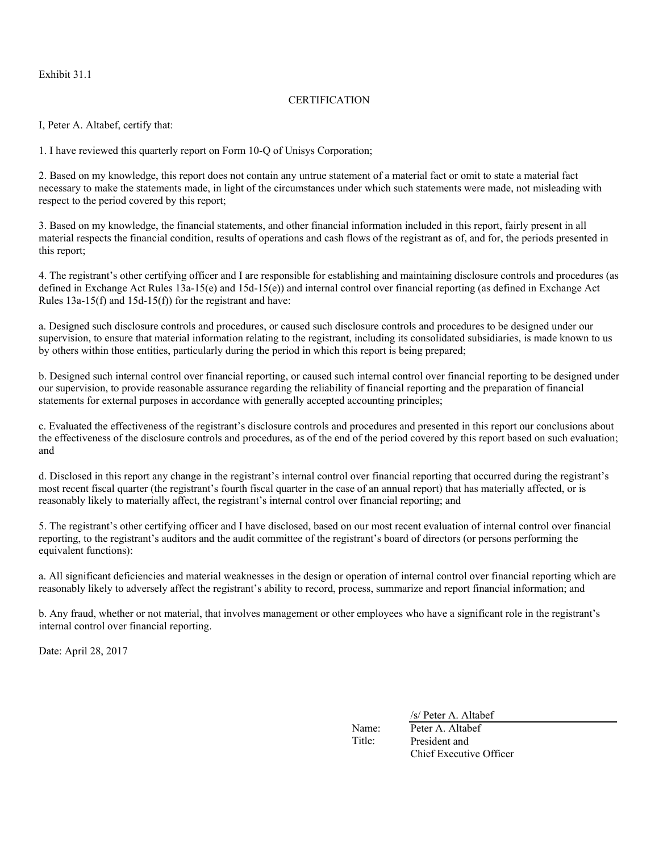Exhibit 31.1

#### **CERTIFICATION**

I, Peter A. Altabef, certify that:

1. I have reviewed this quarterly report on Form 10-Q of Unisys Corporation;

2. Based on my knowledge, this report does not contain any untrue statement of a material fact or omit to state a material fact necessary to make the statements made, in light of the circumstances under which such statements were made, not misleading with respect to the period covered by this report;

3. Based on my knowledge, the financial statements, and other financial information included in this report, fairly present in all material respects the financial condition, results of operations and cash flows of the registrant as of, and for, the periods presented in this report;

4. The registrant's other certifying officer and I are responsible for establishing and maintaining disclosure controls and procedures (as defined in Exchange Act Rules 13a-15(e) and 15d-15(e)) and internal control over financial reporting (as defined in Exchange Act Rules 13a-15(f) and 15d-15(f)) for the registrant and have:

a. Designed such disclosure controls and procedures, or caused such disclosure controls and procedures to be designed under our supervision, to ensure that material information relating to the registrant, including its consolidated subsidiaries, is made known to us by others within those entities, particularly during the period in which this report is being prepared;

b. Designed such internal control over financial reporting, or caused such internal control over financial reporting to be designed under our supervision, to provide reasonable assurance regarding the reliability of financial reporting and the preparation of financial statements for external purposes in accordance with generally accepted accounting principles;

c. Evaluated the effectiveness of the registrant's disclosure controls and procedures and presented in this report our conclusions about the effectiveness of the disclosure controls and procedures, as of the end of the period covered by this report based on such evaluation; and

d. Disclosed in this report any change in the registrant's internal control over financial reporting that occurred during the registrant's most recent fiscal quarter (the registrant's fourth fiscal quarter in the case of an annual report) that has materially affected, or is reasonably likely to materially affect, the registrant's internal control over financial reporting; and

5. The registrant's other certifying officer and I have disclosed, based on our most recent evaluation of internal control over financial reporting, to the registrant's auditors and the audit committee of the registrant's board of directors (or persons performing the equivalent functions):

a. All significant deficiencies and material weaknesses in the design or operation of internal control over financial reporting which are reasonably likely to adversely affect the registrant's ability to record, process, summarize and report financial information; and

b. Any fraud, whether or not material, that involves management or other employees who have a significant role in the registrant's internal control over financial reporting.

Date: April 28, 2017

/s/ Peter A. Altabef Name: Peter A. Altabef Title: President and Chief Executive Officer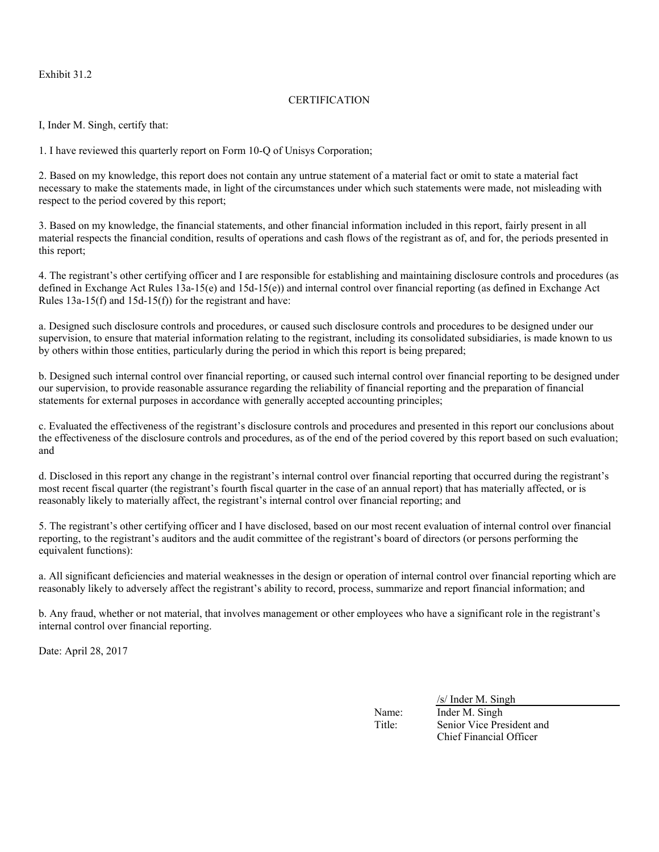Exhibit 31.2

#### **CERTIFICATION**

I, Inder M. Singh, certify that:

1. I have reviewed this quarterly report on Form 10-Q of Unisys Corporation;

2. Based on my knowledge, this report does not contain any untrue statement of a material fact or omit to state a material fact necessary to make the statements made, in light of the circumstances under which such statements were made, not misleading with respect to the period covered by this report;

3. Based on my knowledge, the financial statements, and other financial information included in this report, fairly present in all material respects the financial condition, results of operations and cash flows of the registrant as of, and for, the periods presented in this report;

4. The registrant's other certifying officer and I are responsible for establishing and maintaining disclosure controls and procedures (as defined in Exchange Act Rules 13a-15(e) and 15d-15(e)) and internal control over financial reporting (as defined in Exchange Act Rules 13a-15(f) and 15d-15(f)) for the registrant and have:

a. Designed such disclosure controls and procedures, or caused such disclosure controls and procedures to be designed under our supervision, to ensure that material information relating to the registrant, including its consolidated subsidiaries, is made known to us by others within those entities, particularly during the period in which this report is being prepared;

b. Designed such internal control over financial reporting, or caused such internal control over financial reporting to be designed under our supervision, to provide reasonable assurance regarding the reliability of financial reporting and the preparation of financial statements for external purposes in accordance with generally accepted accounting principles;

c. Evaluated the effectiveness of the registrant's disclosure controls and procedures and presented in this report our conclusions about the effectiveness of the disclosure controls and procedures, as of the end of the period covered by this report based on such evaluation; and

d. Disclosed in this report any change in the registrant's internal control over financial reporting that occurred during the registrant's most recent fiscal quarter (the registrant's fourth fiscal quarter in the case of an annual report) that has materially affected, or is reasonably likely to materially affect, the registrant's internal control over financial reporting; and

5. The registrant's other certifying officer and I have disclosed, based on our most recent evaluation of internal control over financial reporting, to the registrant's auditors and the audit committee of the registrant's board of directors (or persons performing the equivalent functions):

a. All significant deficiencies and material weaknesses in the design or operation of internal control over financial reporting which are reasonably likely to adversely affect the registrant's ability to record, process, summarize and report financial information; and

b. Any fraud, whether or not material, that involves management or other employees who have a significant role in the registrant's internal control over financial reporting.

Date: April 28, 2017

/s/ Inder M. Singh Name: Inder M. Singh Title: Senior Vice President and

Chief Financial Officer